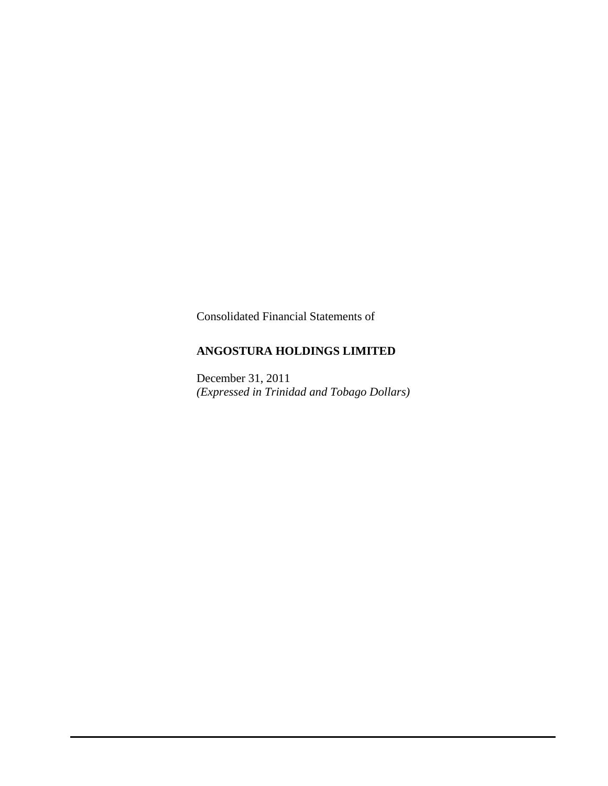Consolidated Financial Statements of

## **ANGOSTURA HOLDINGS LIMITED**

December 31, 2011 *(Expressed in Trinidad and Tobago Dollars)*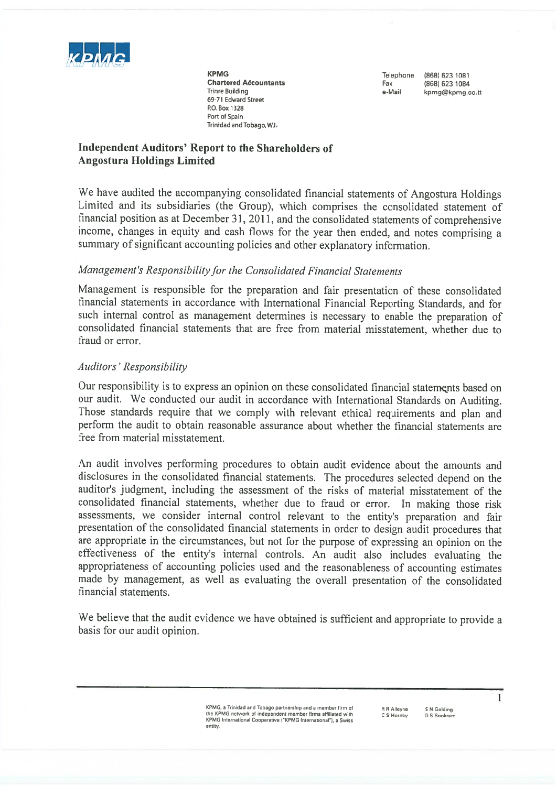

KPMG Telephone (868) <sup>623</sup> <sup>1081</sup> **Chartered Accountants**<br>
Trinre Building<br>
Trinre Building<br>
Fax e-Mail knmg@knmg.r 69-71 Edward Street P.O.Box 1328 Port of Spain Trinidad and Tobago, WI.

e-Mail kpmg@kpmg.co.tt

### Independent Auditors' Report to the Shareholders of Angostura Holdings Limited

We have audited the accompanying consolidated financial statements of Angostura Holdings Limited and its subsidiaries (the Group), which comprises the consolidated statement of financial position as at December 31, 2011, and the consolidated statements of comprehensive income, changes in equity and cash flows for the year then ended, and notes comprising <sup>a</sup> summary of significant accounting policies and other explanatory information.

## Management's Responsibility for the Consolidated Financial Statements

Management is responsible for the preparation and fair presentation of these consolidated financial statements in accordance with International Financial Reporting Standards, and for such internal control as management determines is necessary to enable the preparation of consolidated financial statements that are free from material misstatement, whether due to fraud or error.

#### Auditors' Responsibility

Our responsibility is to express an opinion on these consolidated financial statements based on our audit. We conducted our audit in accordance with International Standards on Auditing. Those standards require that we comply with relevant ethical requirements and <sup>p</sup>lan and perform the audit to obtain reasonable assurance about whether the financial statements are free from material misstatement.

An audit involves performing procedures to obtain audit evidence about the amounts and disclosures in the consolidated financial statements. The procedures selected depend on the auditor's judgment, including the assessment of the risks of material misstatement of the consolidated financial statements, whether due to fraud or error. In making those risk assessments, we consider internal control relevant to the entity's preparation and fair presentation of the consolidated financial statements in order to design audit procedures that are appropriate in the circumstances, but not for the purpose of expressing an opinion on the effectiveness of the entity's internal controls. An audit also includes evaluating the appropriateness of accounting policies used and the reasonableness of accounting estimates made by management, as well as evaluating the overall presentation of the consolidated financial statements.

We believe that the audit evidence we have obtained is sufficient and appropriate to provide <sup>a</sup> basis for our audit opinion.

> KPMG, a Trinidad and Tobago partnership and a member firm of R R Alleyne S N Golding the KPMG network of independent member firms affiliated with C S Hornby D S Sookram KPMG International Cooperative ("KPMG International"), a Swiss entity.

1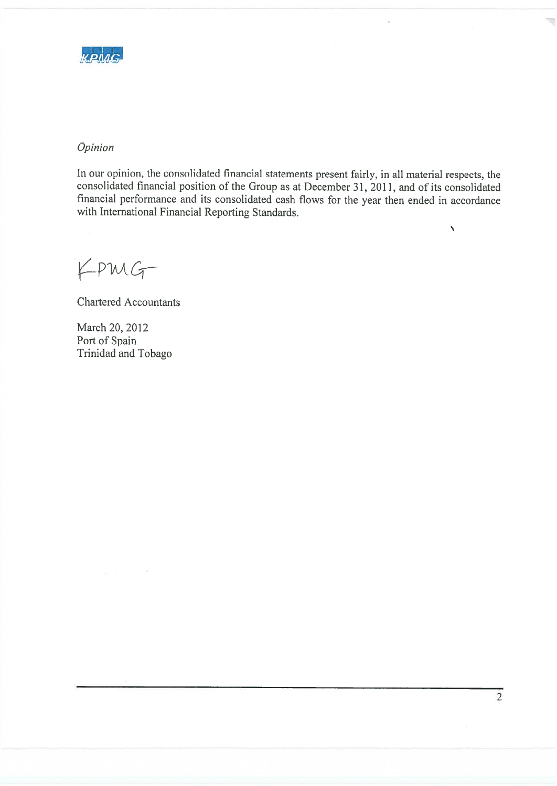

#### **Opinion**

In our opinion, the consolidated financial statements present fairly, in all material respects, the consolidated financial position of the Group as at December 31, 2011, and of its consolidated financial performance and its consolidated cash flows for the year then ended in accordance with International Financial Reporting Standards.

KPMG

Chartered Accountants

March 20, 2012 Port of Spain Trinidad and Tobago  $\bar{\mathbf{v}}$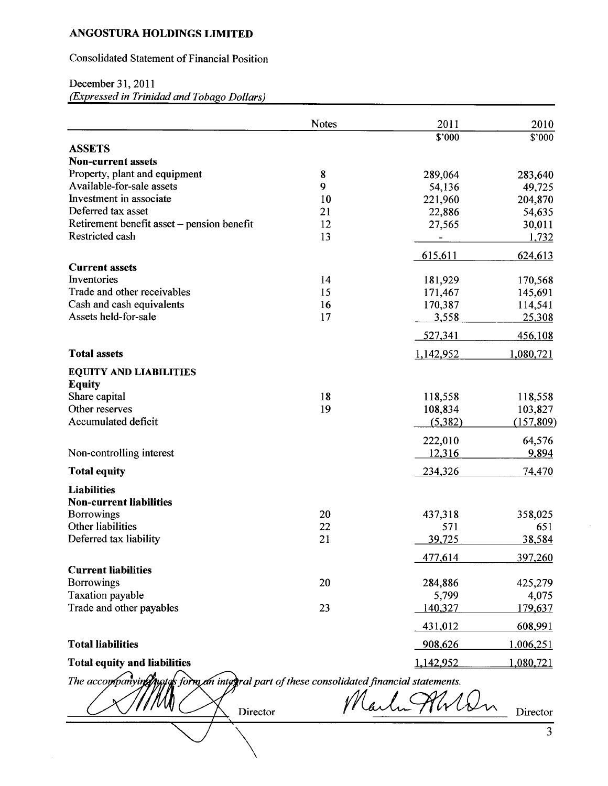## Consolidated Statement of Financial Position

## December 31, 2011 *(Expressed in Trinidad and Tobago Dollars)*

|                                                                                         | <b>Notes</b> | 2011           | 2010           |
|-----------------------------------------------------------------------------------------|--------------|----------------|----------------|
| <b>ASSETS</b>                                                                           |              | \$'000         | \$'000         |
| <b>Non-current assets</b>                                                               |              |                |                |
| Property, plant and equipment                                                           | 8            | 289,064        | 283,640        |
| Available-for-sale assets                                                               | 9            | 54,136         | 49,725         |
| Investment in associate                                                                 | 10           | 221,960        | 204,870        |
| Deferred tax asset                                                                      | 21           | 22,886         | 54,635         |
| Retirement benefit asset – pension benefit                                              | 12           | 27,565         | 30,011         |
| Restricted cash                                                                         | 13           | $\blacksquare$ | 1,732          |
|                                                                                         |              | 615,611        | 624,613        |
| <b>Current assets</b>                                                                   |              |                |                |
| Inventories                                                                             | 14           | 181,929        | 170,568        |
| Trade and other receivables                                                             | 15           | 171,467        | 145,691        |
| Cash and cash equivalents                                                               | 16           | 170,387        | 114,541        |
| Assets held-for-sale                                                                    | 17           | 3,558          | 25,308         |
|                                                                                         |              | 527,341        | 456,108        |
| <b>Total assets</b>                                                                     |              | 1,142,952      | 1,080,721      |
| <b>EQUITY AND LIABILITIES</b>                                                           |              |                |                |
| <b>Equity</b>                                                                           |              |                |                |
| Share capital                                                                           | 18           | 118,558        | 118,558        |
| Other reserves                                                                          | 19           | 108,834        | 103,827        |
| Accumulated deficit                                                                     |              | (5, 382)       | (157, 809)     |
|                                                                                         |              | 222,010        | 64,576         |
| Non-controlling interest                                                                |              | 12,316         | 9,894          |
| <b>Total equity</b>                                                                     |              | 234,326        | 74,470         |
| <b>Liabilities</b>                                                                      |              |                |                |
| <b>Non-current liabilities</b>                                                          |              |                |                |
| <b>Borrowings</b>                                                                       | 20           | 437,318        | 358,025        |
| Other liabilities                                                                       | 22           | 571            | 651            |
| Deferred tax liability                                                                  | 21           | 39,725         | 38,584         |
|                                                                                         |              | 477,614        | 397,260        |
| <b>Current liabilities</b>                                                              |              |                |                |
| <b>Borrowings</b>                                                                       | 20           | 284,886        | 425,279        |
| <b>Taxation</b> payable                                                                 |              | 5,799          | 4,075          |
| Trade and other payables                                                                | 23           | 140,327        | 179,637        |
|                                                                                         |              | 431,012        | 608,991        |
| <b>Total liabilities</b>                                                                |              | 908,626        | 1,006,251      |
| <b>Total equity and liabilities</b>                                                     |              | 1,142,952      | 1,080,721      |
| The accompanying note form an integral part of these consolidated financial statements. |              |                |                |
| Director                                                                                |              | Martin Alver   | Director       |
|                                                                                         |              |                | $\overline{3}$ |
|                                                                                         |              |                |                |
|                                                                                         |              |                |                |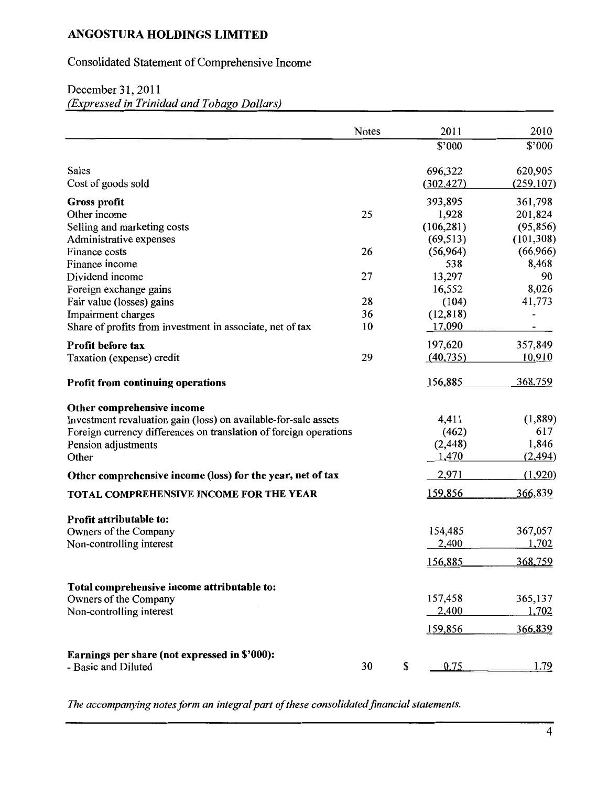# Consolidated Statement of Comprehensive Income

# December 31, 2011

*(Expressed in Trinidad and Tobago Dollars)* 

|                                                                   | <b>Notes</b> | 2011       | 2010                       |
|-------------------------------------------------------------------|--------------|------------|----------------------------|
|                                                                   |              | \$'000     | $\sqrt{$}5$ <sup>000</sup> |
| <b>Sales</b>                                                      |              | 696,322    | 620,905                    |
| Cost of goods sold                                                |              | (302, 427) | (259, 107)                 |
| <b>Gross profit</b>                                               |              | 393,895    | 361,798                    |
| Other income                                                      | 25           | 1,928      | 201,824                    |
| Selling and marketing costs                                       |              | (106, 281) | (95, 856)                  |
| Administrative expenses                                           |              | (69, 513)  | (101, 308)                 |
| Finance costs                                                     | 26           | (56, 964)  | (66,966)                   |
| Finance income                                                    |              | 538        | 8,468                      |
| Dividend income                                                   | 27           | 13,297     | 90                         |
| Foreign exchange gains                                            |              | 16,552     | 8,026                      |
| Fair value (losses) gains                                         | 28           | (104)      | 41,773                     |
| Impairment charges                                                | 36           | (12, 818)  |                            |
| Share of profits from investment in associate, net of tax         | 10           | 17,090     |                            |
| Profit before tax                                                 |              | 197,620    | 357,849                    |
| Taxation (expense) credit                                         | 29           | (40, 735)  | 10,910                     |
| Profit from continuing operations                                 |              | 156,885    | 368,759                    |
| Other comprehensive income                                        |              |            |                            |
| Investment revaluation gain (loss) on available-for-sale assets   |              | 4,411      | (1,889)                    |
| Foreign currency differences on translation of foreign operations |              | (462)      | 617                        |
| Pension adjustments                                               |              | (2, 448)   | 1,846                      |
| Other                                                             |              | 1,470      | (2, 494)                   |
| Other comprehensive income (loss) for the year, net of tax        |              | 2,971      | (1,920)                    |
| <b>TOTAL COMPREHENSIVE INCOME FOR THE YEAR</b>                    |              | 159,856    | 366,839                    |
| Profit attributable to:                                           |              |            |                            |
| Owners of the Company                                             |              | 154,485    | 367,057                    |
| Non-controlling interest                                          |              | 2,400      | 1,702                      |
|                                                                   |              | 156,885    | 368,759                    |
| Total comprehensive income attributable to:                       |              |            |                            |
| Owners of the Company                                             |              | 157,458    | 365,137                    |
| Non-controlling interest                                          |              | 2,400      | 1,702                      |
|                                                                   |              | 159,856    | 366,839                    |
| Earnings per share (not expressed in \$'000):                     |              |            |                            |
| - Basic and Diluted                                               | 30           | \$<br>0.75 | <u>1.79</u>                |

*The accompanying notes form an integral part of these consolidated financial statements.*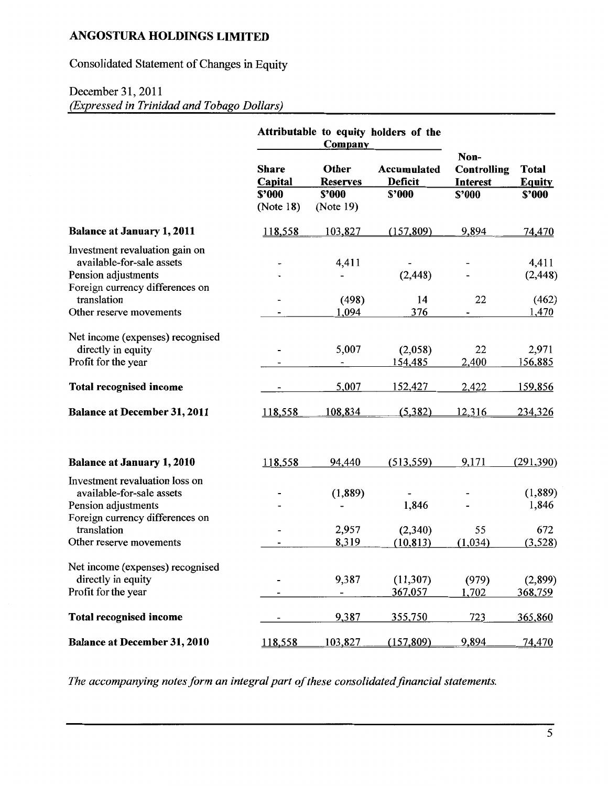Consolidated Statement of Changes in Equity

## December 31, 2011 *(Expressed in Trinidad and Tobago Dollars)*

|                                     | Attributable to equity holders of the<br>Company |                          |                        |                                               |                               |  |
|-------------------------------------|--------------------------------------------------|--------------------------|------------------------|-----------------------------------------------|-------------------------------|--|
|                                     | <b>Share</b><br><b>Capital</b>                   | Other<br><b>Reserves</b> | Accumulated<br>Deficit | Non-<br><b>Controlling</b><br><b>Interest</b> | <b>Total</b><br><b>Equity</b> |  |
|                                     | \$'000<br>(Note $18$ )                           | \$'000<br>(Note 19)      | \$'000                 | \$2000                                        | \$'000                        |  |
| <b>Balance at January 1, 2011</b>   | 118,558                                          | 103,827                  | (157, 809)             | 9,894                                         | 74,470                        |  |
| Investment revaluation gain on      |                                                  |                          |                        |                                               |                               |  |
| available-for-sale assets           |                                                  | 4,411                    |                        |                                               | 4,411                         |  |
| Pension adjustments                 |                                                  |                          | (2, 448)               |                                               | (2, 448)                      |  |
| Foreign currency differences on     |                                                  |                          |                        |                                               |                               |  |
| translation                         |                                                  | (498)                    | 14                     | 22                                            | (462)                         |  |
| Other reserve movements             |                                                  | 1,094                    | 376                    |                                               | 1,470                         |  |
| Net income (expenses) recognised    |                                                  |                          |                        |                                               |                               |  |
| directly in equity                  |                                                  | 5,007                    | (2,058)                | 22                                            | 2,971                         |  |
| Profit for the year                 |                                                  |                          | 154,485                | 2,400                                         | 156,885                       |  |
| <b>Total recognised income</b>      |                                                  | 5,007                    | 152,427                | 2,422                                         | 159,856                       |  |
| <b>Balance at December 31, 2011</b> | 118,558                                          | 108,834                  | (5,382)                | 12,316                                        | 234,326                       |  |
| <b>Balance at January 1, 2010</b>   | 118,558                                          | 94,440                   | (513, 559)             | 9,171                                         | (291,390)                     |  |
| Investment revaluation loss on      |                                                  |                          |                        |                                               |                               |  |
| available-for-sale assets           |                                                  | (1, 889)                 |                        |                                               | (1,889)                       |  |
| Pension adjustments                 |                                                  |                          | 1,846                  |                                               | 1,846                         |  |
| Foreign currency differences on     |                                                  |                          |                        |                                               |                               |  |
| translation                         |                                                  | 2,957                    | (2,340)                | 55                                            | 672                           |  |
| Other reserve movements             |                                                  | 8,319                    | (10, 813)              | (1,034)                                       | (3,528)                       |  |
| Net income (expenses) recognised    |                                                  |                          |                        |                                               |                               |  |
| directly in equity                  |                                                  | 9,387                    | (11, 307)              | (979)                                         | (2,899)                       |  |
| Profit for the year                 |                                                  |                          | 367,057                | 1,702                                         | 368,759                       |  |
| <b>Total recognised income</b>      |                                                  | 9,387                    | 355,750                | 723                                           | 365,860                       |  |
| <b>Balance at December 31, 2010</b> | 118,558                                          | 103,827                  | (157, 809)             | 9,894                                         | 74,470                        |  |

*The accompanying notes form an integral part of these consolidated financial statements.*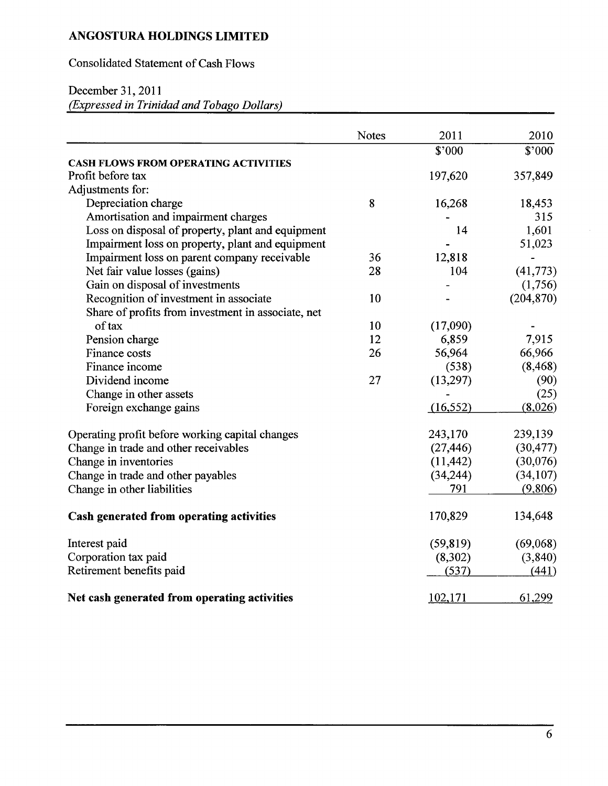# Consolidated Statement of Cash Flows

### December 31, 2011

*(Expressed in Trinidad and Tobago Dollars)* 

|                                                    | <b>Notes</b> | 2011      | 2010       |
|----------------------------------------------------|--------------|-----------|------------|
|                                                    |              | \$'000    | \$'000     |
| <b>CASH FLOWS FROM OPERATING ACTIVITIES</b>        |              |           |            |
| Profit before tax                                  |              | 197,620   | 357,849    |
| Adjustments for:                                   |              |           |            |
| Depreciation charge                                | 8            | 16,268    | 18,453     |
| Amortisation and impairment charges                |              |           | 315        |
| Loss on disposal of property, plant and equipment  |              | 14        | 1,601      |
| Impairment loss on property, plant and equipment   |              |           | 51,023     |
| Impairment loss on parent company receivable       | 36           | 12,818    |            |
| Net fair value losses (gains)                      | 28           | 104       | (41, 773)  |
| Gain on disposal of investments                    |              |           | (1,756)    |
| Recognition of investment in associate             | 10           |           | (204, 870) |
| Share of profits from investment in associate, net |              |           |            |
| of tax                                             | 10           | (17,090)  |            |
| Pension charge                                     | 12           | 6,859     | 7,915      |
| Finance costs                                      | 26           | 56,964    | 66,966     |
| Finance income                                     |              | (538)     | (8, 468)   |
| Dividend income                                    | 27           | (13, 297) | (90)       |
| Change in other assets                             |              |           | (25)       |
| Foreign exchange gains                             |              | (16, 552) | (8,026)    |
| Operating profit before working capital changes    |              | 243,170   | 239,139    |
| Change in trade and other receivables              |              | (27, 446) | (30, 477)  |
| Change in inventories                              |              | (11, 442) | (30,076)   |
| Change in trade and other payables                 |              | (34, 244) | (34, 107)  |
| Change in other liabilities                        |              | 791       | (9,806)    |
| Cash generated from operating activities           |              | 170,829   | 134,648    |
| Interest paid                                      |              | (59, 819) | (69,068)   |
| Corporation tax paid                               |              | (8,302)   | (3, 840)   |
| Retirement benefits paid                           |              | (537)     | (441)      |
| Net cash generated from operating activities       |              | 102,171   | 61,299     |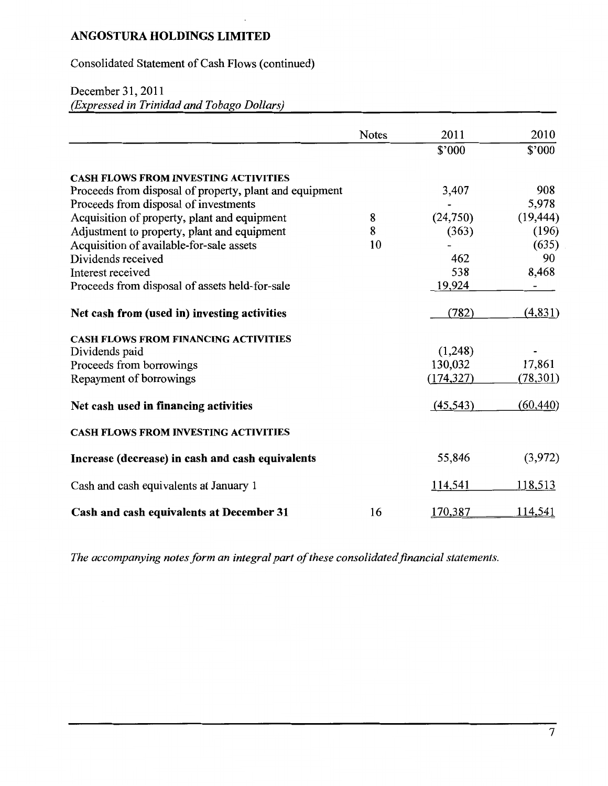Consolidated Statement of Cash Flows (continued)

# December 31, 2011

*(Expressed in Trinidad and Tobago Dollars)* 

|                                                         | <b>Notes</b> | 2011       | 2010      |
|---------------------------------------------------------|--------------|------------|-----------|
|                                                         |              | \$'000     | \$'000    |
| <b>CASH FLOWS FROM INVESTING ACTIVITIES</b>             |              |            |           |
| Proceeds from disposal of property, plant and equipment |              | 3,407      | 908       |
| Proceeds from disposal of investments                   |              |            | 5,978     |
| Acquisition of property, plant and equipment            | 8            | (24,750)   | (19, 444) |
| Adjustment to property, plant and equipment             | 8            | (363)      | (196)     |
| Acquisition of available-for-sale assets                | 10           |            | (635)     |
| Dividends received                                      |              | 462        | 90        |
| Interest received                                       |              | 538        | 8,468     |
| Proceeds from disposal of assets held-for-sale          |              | 19,924     |           |
| Net cash from (used in) investing activities            |              | (782)      | (4,831)   |
| <b>CASH FLOWS FROM FINANCING ACTIVITIES</b>             |              |            |           |
| Dividends paid                                          |              | (1,248)    |           |
| Proceeds from borrowings                                |              | 130,032    | 17,861    |
| Repayment of borrowings                                 |              | (174, 327) | (78, 301) |
| Net cash used in financing activities                   |              | (45, 543)  | (60, 440) |
| <b>CASH FLOWS FROM INVESTING ACTIVITIES</b>             |              |            |           |
| Increase (decrease) in cash and cash equivalents        |              | 55,846     | (3,972)   |
| Cash and cash equivalents at January 1                  |              | 114,541    | 118,513   |
| Cash and cash equivalents at December 31                | 16           | 170,387    | 114,541   |

*The accompanying notes form an integral part of these consolidated financial statements.*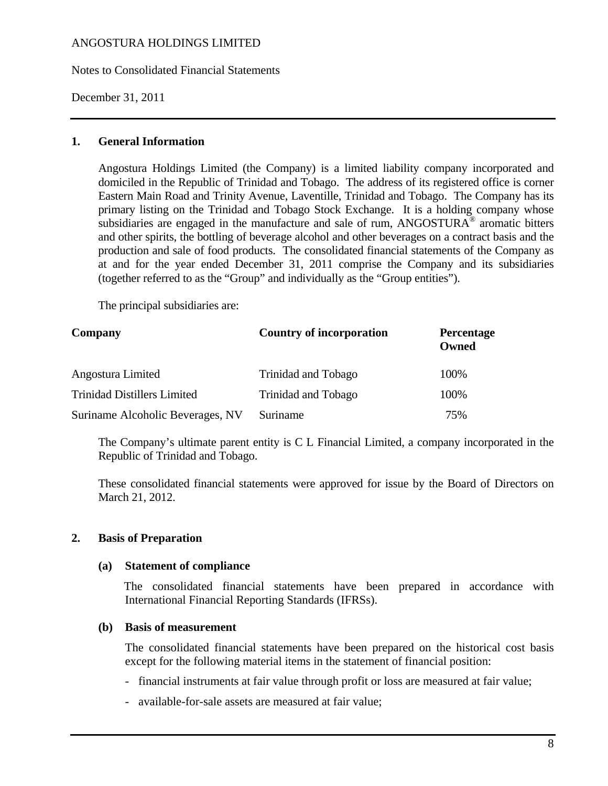Notes to Consolidated Financial Statements

December 31, 2011

#### **1. General Information**

Angostura Holdings Limited (the Company) is a limited liability company incorporated and domiciled in the Republic of Trinidad and Tobago. The address of its registered office is corner Eastern Main Road and Trinity Avenue, Laventille, Trinidad and Tobago. The Company has its primary listing on the Trinidad and Tobago Stock Exchange. It is a holding company whose subsidiaries are engaged in the manufacture and sale of rum,  $ANGOSTURA<sup>®</sup>$  aromatic bitters and other spirits, the bottling of beverage alcohol and other beverages on a contract basis and the production and sale of food products. The consolidated financial statements of the Company as at and for the year ended December 31, 2011 comprise the Company and its subsidiaries (together referred to as the "Group" and individually as the "Group entities").

The principal subsidiaries are:

| Company                            | <b>Country of incorporation</b> | <b>Percentage</b><br>Owned |
|------------------------------------|---------------------------------|----------------------------|
| Angostura Limited                  | Trinidad and Tobago             | 100%                       |
| <b>Trinidad Distillers Limited</b> | Trinidad and Tobago             | 100%                       |
| Suriname Alcoholic Beverages, NV   | Suriname                        | 75%                        |

The Company's ultimate parent entity is C L Financial Limited, a company incorporated in the Republic of Trinidad and Tobago.

These consolidated financial statements were approved for issue by the Board of Directors on March 21, 2012.

#### **2. Basis of Preparation**

#### **(a) Statement of compliance**

The consolidated financial statements have been prepared in accordance with International Financial Reporting Standards (IFRSs).

#### **(b) Basis of measurement**

 The consolidated financial statements have been prepared on the historical cost basis except for the following material items in the statement of financial position:

- financial instruments at fair value through profit or loss are measured at fair value;
- available-for-sale assets are measured at fair value;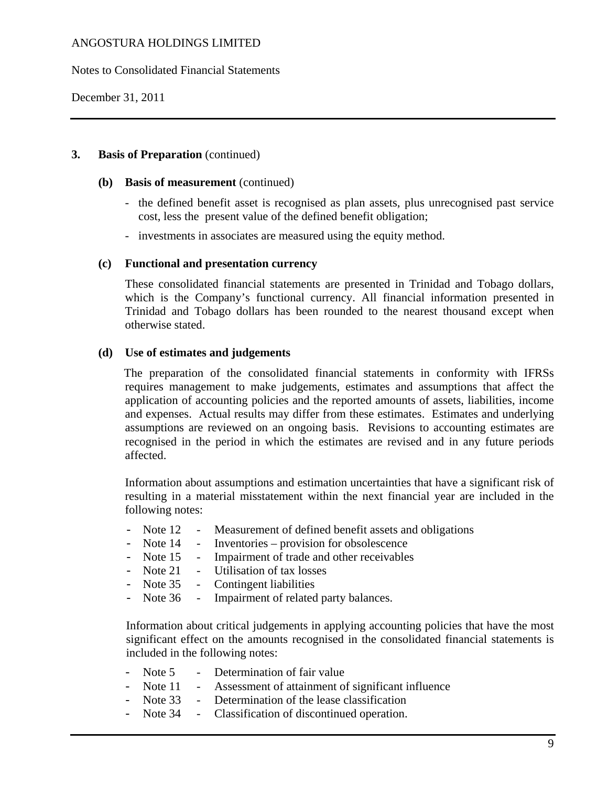Notes to Consolidated Financial Statements

December 31, 2011

#### **3. Basis of Preparation** (continued)

#### **(b) Basis of measurement** (continued)

- the defined benefit asset is recognised as plan assets, plus unrecognised past service cost, less the present value of the defined benefit obligation;
- investments in associates are measured using the equity method.

#### **(c) Functional and presentation currency**

These consolidated financial statements are presented in Trinidad and Tobago dollars, which is the Company's functional currency. All financial information presented in Trinidad and Tobago dollars has been rounded to the nearest thousand except when otherwise stated.

#### **(d) Use of estimates and judgements**

The preparation of the consolidated financial statements in conformity with IFRSs requires management to make judgements, estimates and assumptions that affect the application of accounting policies and the reported amounts of assets, liabilities, income and expenses. Actual results may differ from these estimates. Estimates and underlying assumptions are reviewed on an ongoing basis. Revisions to accounting estimates are recognised in the period in which the estimates are revised and in any future periods affected.

Information about assumptions and estimation uncertainties that have a significant risk of resulting in a material misstatement within the next financial year are included in the following notes:

- Note 12 Measurement of defined benefit assets and obligations
- Note 14 Inventories provision for obsolescence
- Note 15 Impairment of trade and other receivables
- Note 21 Utilisation of tax losses
- Note 35 Contingent liabilities
- Note 36 Impairment of related party balances.

Information about critical judgements in applying accounting policies that have the most significant effect on the amounts recognised in the consolidated financial statements is included in the following notes:

- Note 5 Determination of fair value
- Note 11 Assessment of attainment of significant influence
- Note 33 Determination of the lease classification
- Note 34 Classification of discontinued operation.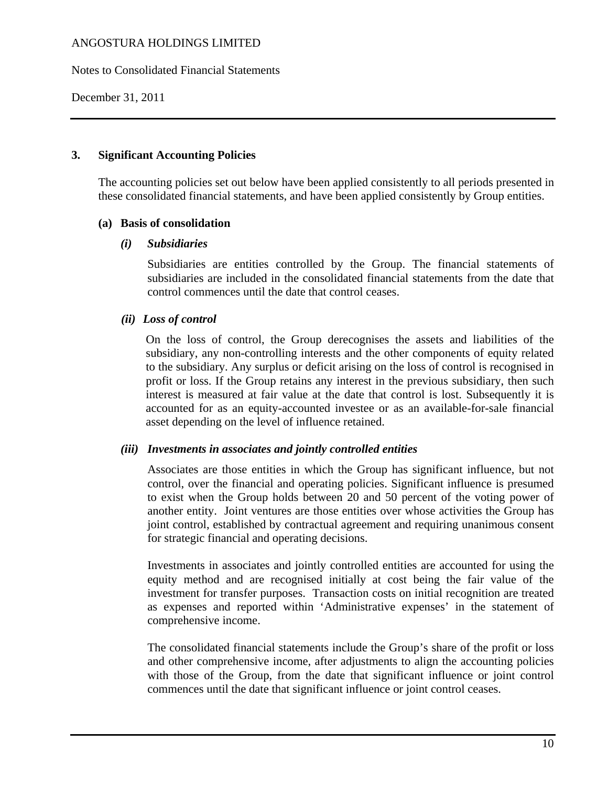Notes to Consolidated Financial Statements

December 31, 2011

#### **3. Significant Accounting Policies**

The accounting policies set out below have been applied consistently to all periods presented in these consolidated financial statements, and have been applied consistently by Group entities.

#### **(a) Basis of consolidation**

#### *(i) Subsidiaries*

 Subsidiaries are entities controlled by the Group. The financial statements of subsidiaries are included in the consolidated financial statements from the date that control commences until the date that control ceases.

#### *(ii) Loss of control*

On the loss of control, the Group derecognises the assets and liabilities of the subsidiary, any non-controlling interests and the other components of equity related to the subsidiary. Any surplus or deficit arising on the loss of control is recognised in profit or loss. If the Group retains any interest in the previous subsidiary, then such interest is measured at fair value at the date that control is lost. Subsequently it is accounted for as an equity-accounted investee or as an available-for-sale financial asset depending on the level of influence retained.

#### *(iii) Investments in associates and jointly controlled entities*

Associates are those entities in which the Group has significant influence, but not control, over the financial and operating policies. Significant influence is presumed to exist when the Group holds between 20 and 50 percent of the voting power of another entity. Joint ventures are those entities over whose activities the Group has joint control, established by contractual agreement and requiring unanimous consent for strategic financial and operating decisions.

Investments in associates and jointly controlled entities are accounted for using the equity method and are recognised initially at cost being the fair value of the investment for transfer purposes. Transaction costs on initial recognition are treated as expenses and reported within 'Administrative expenses' in the statement of comprehensive income.

The consolidated financial statements include the Group's share of the profit or loss and other comprehensive income, after adjustments to align the accounting policies with those of the Group, from the date that significant influence or joint control commences until the date that significant influence or joint control ceases.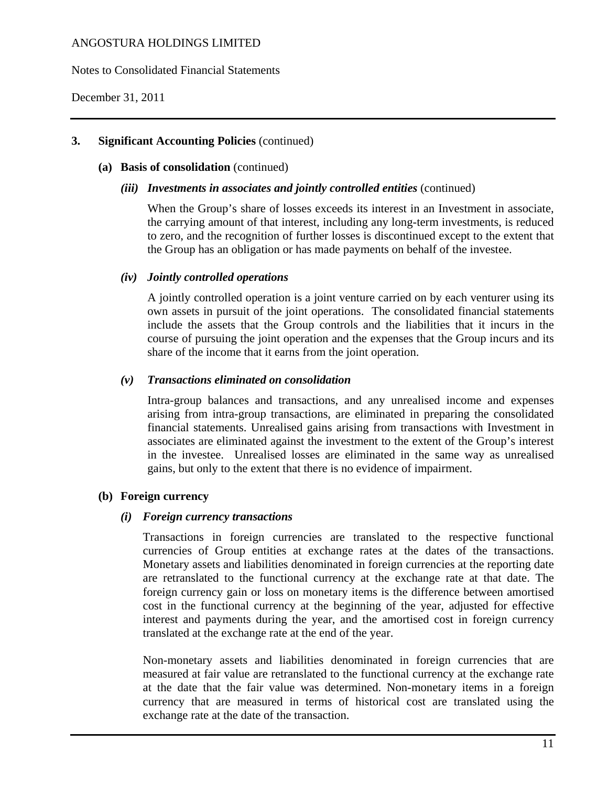#### Notes to Consolidated Financial Statements

December 31, 2011

#### **3. Significant Accounting Policies** (continued)

#### **(a) Basis of consolidation** (continued)

*(iii)* Investments in associates and jointly controlled entities (continued)

When the Group's share of losses exceeds its interest in an Investment in associate, the carrying amount of that interest, including any long-term investments, is reduced to zero, and the recognition of further losses is discontinued except to the extent that the Group has an obligation or has made payments on behalf of the investee.

#### *(iv) Jointly controlled operations*

A jointly controlled operation is a joint venture carried on by each venturer using its own assets in pursuit of the joint operations. The consolidated financial statements include the assets that the Group controls and the liabilities that it incurs in the course of pursuing the joint operation and the expenses that the Group incurs and its share of the income that it earns from the joint operation.

#### *(v) Transactions eliminated on consolidation*

Intra-group balances and transactions, and any unrealised income and expenses arising from intra-group transactions, are eliminated in preparing the consolidated financial statements. Unrealised gains arising from transactions with Investment in associates are eliminated against the investment to the extent of the Group's interest in the investee. Unrealised losses are eliminated in the same way as unrealised gains, but only to the extent that there is no evidence of impairment.

#### **(b) Foreign currency**

#### *(i) Foreign currency transactions*

 Transactions in foreign currencies are translated to the respective functional currencies of Group entities at exchange rates at the dates of the transactions. Monetary assets and liabilities denominated in foreign currencies at the reporting date are retranslated to the functional currency at the exchange rate at that date. The foreign currency gain or loss on monetary items is the difference between amortised cost in the functional currency at the beginning of the year, adjusted for effective interest and payments during the year, and the amortised cost in foreign currency translated at the exchange rate at the end of the year.

Non-monetary assets and liabilities denominated in foreign currencies that are measured at fair value are retranslated to the functional currency at the exchange rate at the date that the fair value was determined. Non-monetary items in a foreign currency that are measured in terms of historical cost are translated using the exchange rate at the date of the transaction.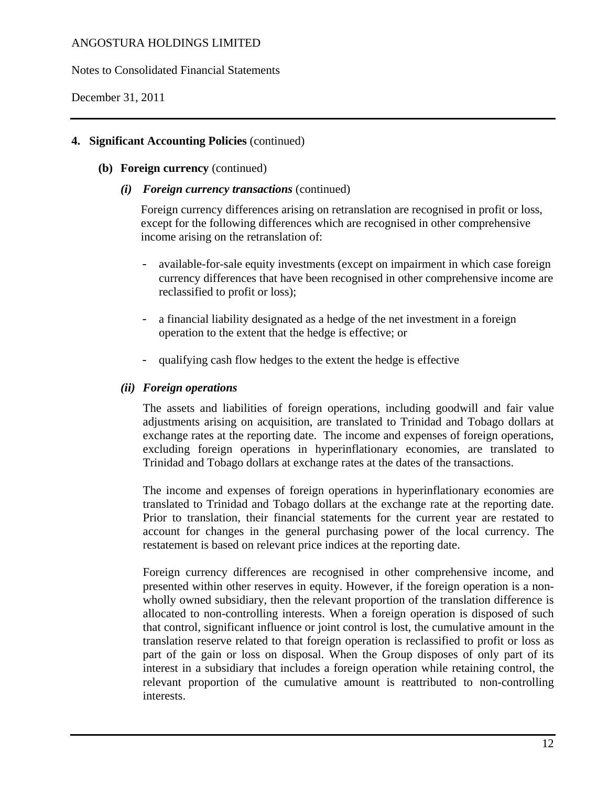#### Notes to Consolidated Financial Statements

December 31, 2011

#### **4. Significant Accounting Policies** (continued)

#### **(b) Foreign currency** (continued)

*(i) Foreign currency transactions* (continued)

Foreign currency differences arising on retranslation are recognised in profit or loss, except for the following differences which are recognised in other comprehensive income arising on the retranslation of:

- available-for-sale equity investments (except on impairment in which case foreign currency differences that have been recognised in other comprehensive income are reclassified to profit or loss);
- a financial liability designated as a hedge of the net investment in a foreign operation to the extent that the hedge is effective; or
- qualifying cash flow hedges to the extent the hedge is effective

#### *(ii) Foreign operations*

The assets and liabilities of foreign operations, including goodwill and fair value adjustments arising on acquisition, are translated to Trinidad and Tobago dollars at exchange rates at the reporting date. The income and expenses of foreign operations, excluding foreign operations in hyperinflationary economies, are translated to Trinidad and Tobago dollars at exchange rates at the dates of the transactions.

The income and expenses of foreign operations in hyperinflationary economies are translated to Trinidad and Tobago dollars at the exchange rate at the reporting date. Prior to translation, their financial statements for the current year are restated to account for changes in the general purchasing power of the local currency. The restatement is based on relevant price indices at the reporting date.

Foreign currency differences are recognised in other comprehensive income, and presented within other reserves in equity. However, if the foreign operation is a nonwholly owned subsidiary, then the relevant proportion of the translation difference is allocated to non-controlling interests. When a foreign operation is disposed of such that control, significant influence or joint control is lost, the cumulative amount in the translation reserve related to that foreign operation is reclassified to profit or loss as part of the gain or loss on disposal. When the Group disposes of only part of its interest in a subsidiary that includes a foreign operation while retaining control, the relevant proportion of the cumulative amount is reattributed to non-controlling interests.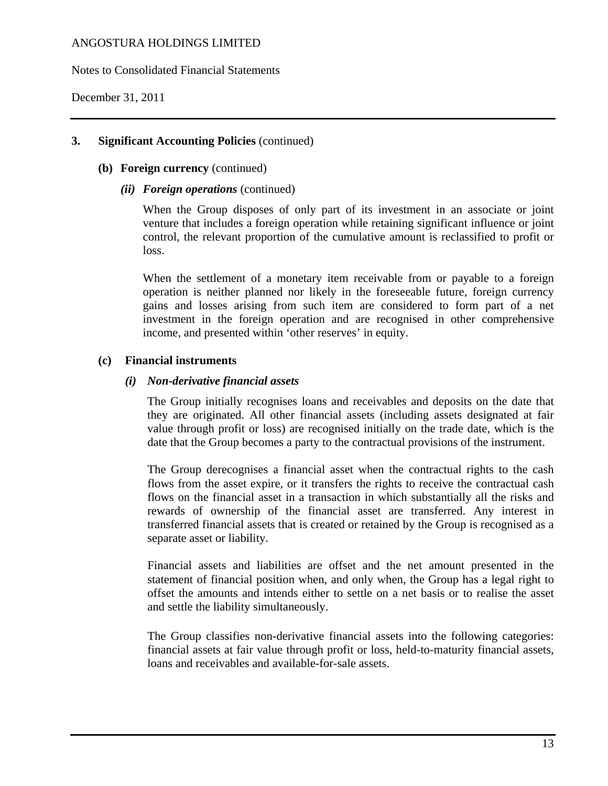Notes to Consolidated Financial Statements

December 31, 2011

#### **3. Significant Accounting Policies** (continued)

#### **(b) Foreign currency** (continued)

*(ii) Foreign operations* (continued)

When the Group disposes of only part of its investment in an associate or joint venture that includes a foreign operation while retaining significant influence or joint control, the relevant proportion of the cumulative amount is reclassified to profit or loss.

When the settlement of a monetary item receivable from or payable to a foreign operation is neither planned nor likely in the foreseeable future, foreign currency gains and losses arising from such item are considered to form part of a net investment in the foreign operation and are recognised in other comprehensive income, and presented within 'other reserves' in equity.

#### **(c) Financial instruments**

#### *(i) Non-derivative financial assets*

The Group initially recognises loans and receivables and deposits on the date that they are originated. All other financial assets (including assets designated at fair value through profit or loss) are recognised initially on the trade date, which is the date that the Group becomes a party to the contractual provisions of the instrument.

The Group derecognises a financial asset when the contractual rights to the cash flows from the asset expire, or it transfers the rights to receive the contractual cash flows on the financial asset in a transaction in which substantially all the risks and rewards of ownership of the financial asset are transferred. Any interest in transferred financial assets that is created or retained by the Group is recognised as a separate asset or liability.

Financial assets and liabilities are offset and the net amount presented in the statement of financial position when, and only when, the Group has a legal right to offset the amounts and intends either to settle on a net basis or to realise the asset and settle the liability simultaneously.

The Group classifies non-derivative financial assets into the following categories: financial assets at fair value through profit or loss, held-to-maturity financial assets, loans and receivables and available-for-sale assets.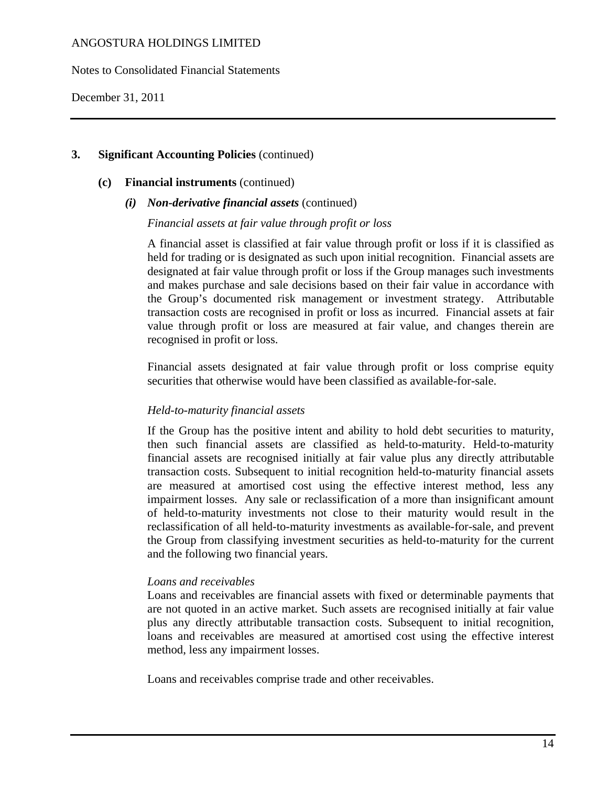Notes to Consolidated Financial Statements

December 31, 2011

#### **3. Significant Accounting Policies** (continued)

#### **(c) Financial instruments** (continued)

#### *(i) Non-derivative financial assets* (continued)

#### *Financial assets at fair value through profit or loss*

A financial asset is classified at fair value through profit or loss if it is classified as held for trading or is designated as such upon initial recognition. Financial assets are designated at fair value through profit or loss if the Group manages such investments and makes purchase and sale decisions based on their fair value in accordance with the Group's documented risk management or investment strategy. Attributable transaction costs are recognised in profit or loss as incurred. Financial assets at fair value through profit or loss are measured at fair value, and changes therein are recognised in profit or loss.

Financial assets designated at fair value through profit or loss comprise equity securities that otherwise would have been classified as available-for-sale.

#### *Held-to-maturity financial assets*

If the Group has the positive intent and ability to hold debt securities to maturity, then such financial assets are classified as held-to-maturity. Held-to-maturity financial assets are recognised initially at fair value plus any directly attributable transaction costs. Subsequent to initial recognition held-to-maturity financial assets are measured at amortised cost using the effective interest method, less any impairment losses. Any sale or reclassification of a more than insignificant amount of held-to-maturity investments not close to their maturity would result in the reclassification of all held-to-maturity investments as available-for-sale, and prevent the Group from classifying investment securities as held-to-maturity for the current and the following two financial years.

#### *Loans and receivables*

Loans and receivables are financial assets with fixed or determinable payments that are not quoted in an active market. Such assets are recognised initially at fair value plus any directly attributable transaction costs. Subsequent to initial recognition, loans and receivables are measured at amortised cost using the effective interest method, less any impairment losses.

Loans and receivables comprise trade and other receivables.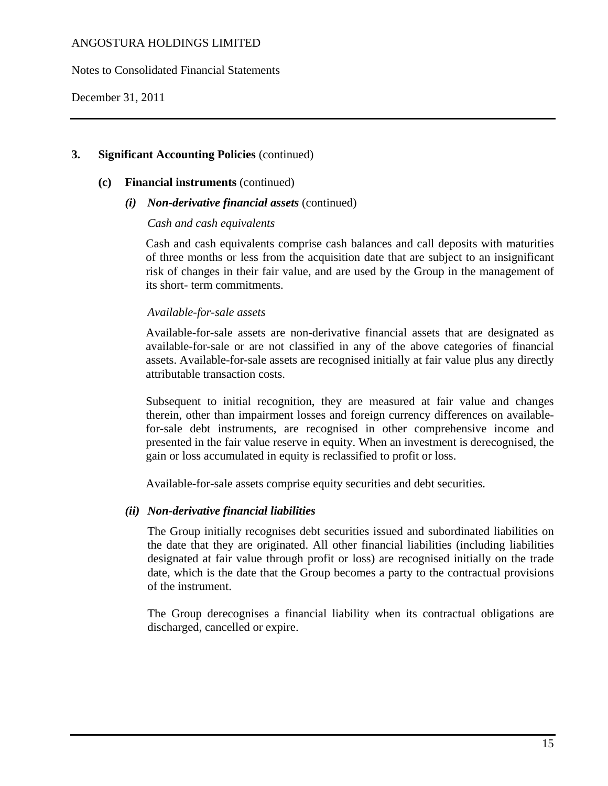Notes to Consolidated Financial Statements

December 31, 2011

#### **3. Significant Accounting Policies** (continued)

#### **(c) Financial instruments** (continued)

#### *(i) Non-derivative financial assets* (continued)

#### *Cash and cash equivalents*

Cash and cash equivalents comprise cash balances and call deposits with maturities of three months or less from the acquisition date that are subject to an insignificant risk of changes in their fair value, and are used by the Group in the management of its short- term commitments.

#### *Available-for-sale assets*

Available-for-sale assets are non-derivative financial assets that are designated as available-for-sale or are not classified in any of the above categories of financial assets. Available-for-sale assets are recognised initially at fair value plus any directly attributable transaction costs.

Subsequent to initial recognition, they are measured at fair value and changes therein, other than impairment losses and foreign currency differences on availablefor-sale debt instruments, are recognised in other comprehensive income and presented in the fair value reserve in equity. When an investment is derecognised, the gain or loss accumulated in equity is reclassified to profit or loss.

Available-for-sale assets comprise equity securities and debt securities.

#### *(ii) Non-derivative financial liabilities*

The Group initially recognises debt securities issued and subordinated liabilities on the date that they are originated. All other financial liabilities (including liabilities designated at fair value through profit or loss) are recognised initially on the trade date, which is the date that the Group becomes a party to the contractual provisions of the instrument.

The Group derecognises a financial liability when its contractual obligations are discharged, cancelled or expire.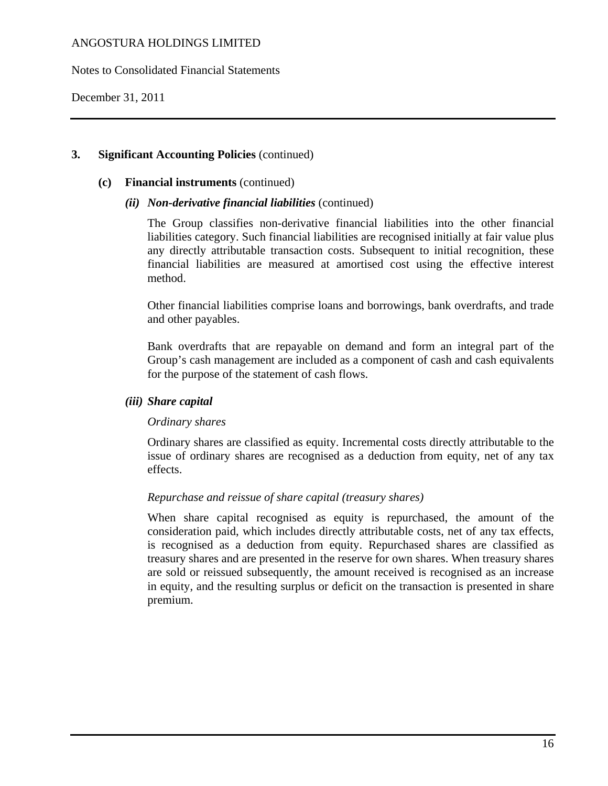Notes to Consolidated Financial Statements

December 31, 2011

#### **3. Significant Accounting Policies** (continued)

#### **(c) Financial instruments** (continued)

#### *(ii) Non-derivative financial liabilities* (continued)

The Group classifies non-derivative financial liabilities into the other financial liabilities category. Such financial liabilities are recognised initially at fair value plus any directly attributable transaction costs. Subsequent to initial recognition, these financial liabilities are measured at amortised cost using the effective interest method.

Other financial liabilities comprise loans and borrowings, bank overdrafts, and trade and other payables.

Bank overdrafts that are repayable on demand and form an integral part of the Group's cash management are included as a component of cash and cash equivalents for the purpose of the statement of cash flows.

#### *(iii) Share capital*

## *Ordinary shares*

Ordinary shares are classified as equity. Incremental costs directly attributable to the issue of ordinary shares are recognised as a deduction from equity, net of any tax effects.

#### *Repurchase and reissue of share capital (treasury shares)*

When share capital recognised as equity is repurchased, the amount of the consideration paid, which includes directly attributable costs, net of any tax effects, is recognised as a deduction from equity. Repurchased shares are classified as treasury shares and are presented in the reserve for own shares. When treasury shares are sold or reissued subsequently, the amount received is recognised as an increase in equity, and the resulting surplus or deficit on the transaction is presented in share premium.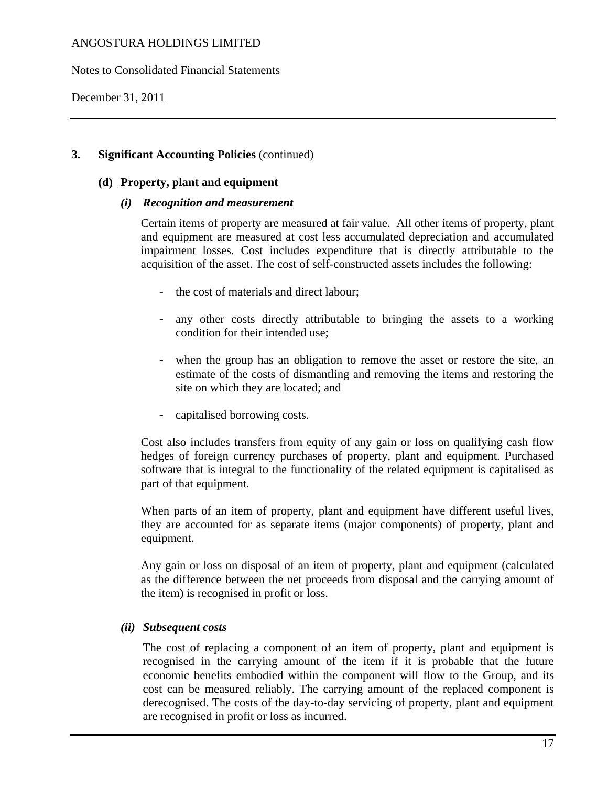Notes to Consolidated Financial Statements

December 31, 2011

#### **3. Significant Accounting Policies** (continued)

#### **(d) Property, plant and equipment**

#### *(i) Recognition and measurement*

Certain items of property are measured at fair value. All other items of property, plant and equipment are measured at cost less accumulated depreciation and accumulated impairment losses. Cost includes expenditure that is directly attributable to the acquisition of the asset. The cost of self-constructed assets includes the following:

- the cost of materials and direct labour;
- any other costs directly attributable to bringing the assets to a working condition for their intended use;
- when the group has an obligation to remove the asset or restore the site, an estimate of the costs of dismantling and removing the items and restoring the site on which they are located; and
- capitalised borrowing costs.

Cost also includes transfers from equity of any gain or loss on qualifying cash flow hedges of foreign currency purchases of property, plant and equipment. Purchased software that is integral to the functionality of the related equipment is capitalised as part of that equipment.

When parts of an item of property, plant and equipment have different useful lives, they are accounted for as separate items (major components) of property, plant and equipment.

Any gain or loss on disposal of an item of property, plant and equipment (calculated as the difference between the net proceeds from disposal and the carrying amount of the item) is recognised in profit or loss.

#### *(ii) Subsequent costs*

 The cost of replacing a component of an item of property, plant and equipment is recognised in the carrying amount of the item if it is probable that the future economic benefits embodied within the component will flow to the Group, and its cost can be measured reliably. The carrying amount of the replaced component is derecognised. The costs of the day-to-day servicing of property, plant and equipment are recognised in profit or loss as incurred.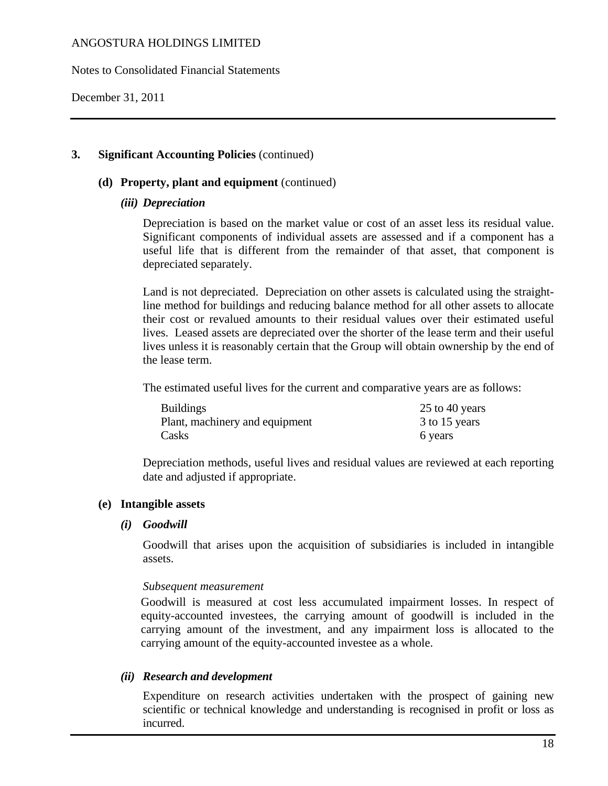Notes to Consolidated Financial Statements

December 31, 2011

#### **3. Significant Accounting Policies** (continued)

#### **(d) Property, plant and equipment** (continued)

*(iii) Depreciation* 

 Depreciation is based on the market value or cost of an asset less its residual value. Significant components of individual assets are assessed and if a component has a useful life that is different from the remainder of that asset, that component is depreciated separately.

 Land is not depreciated. Depreciation on other assets is calculated using the straightline method for buildings and reducing balance method for all other assets to allocate their cost or revalued amounts to their residual values over their estimated useful lives. Leased assets are depreciated over the shorter of the lease term and their useful lives unless it is reasonably certain that the Group will obtain ownership by the end of the lease term.

The estimated useful lives for the current and comparative years are as follows:

| <b>Buildings</b>               | 25 to 40 years |
|--------------------------------|----------------|
| Plant, machinery and equipment | 3 to 15 years  |
| Casks                          | 6 years        |

Depreciation methods, useful lives and residual values are reviewed at each reporting date and adjusted if appropriate.

#### **(e) Intangible assets**

#### *(i) Goodwill*

 Goodwill that arises upon the acquisition of subsidiaries is included in intangible assets.

#### *Subsequent measurement*

 Goodwill is measured at cost less accumulated impairment losses. In respect of equity-accounted investees, the carrying amount of goodwill is included in the carrying amount of the investment, and any impairment loss is allocated to the carrying amount of the equity-accounted investee as a whole.

#### *(ii) Research and development*

 Expenditure on research activities undertaken with the prospect of gaining new scientific or technical knowledge and understanding is recognised in profit or loss as incurred.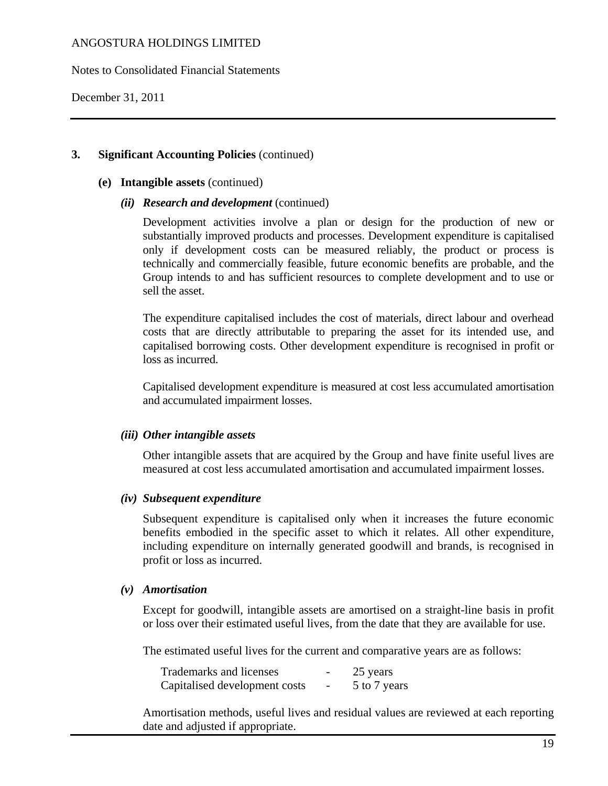Notes to Consolidated Financial Statements

December 31, 2011

#### **3. Significant Accounting Policies** (continued)

#### **(e) Intangible assets** (continued)

#### *(ii) Research and development* (continued)

 Development activities involve a plan or design for the production of new or substantially improved products and processes. Development expenditure is capitalised only if development costs can be measured reliably, the product or process is technically and commercially feasible, future economic benefits are probable, and the Group intends to and has sufficient resources to complete development and to use or sell the asset.

The expenditure capitalised includes the cost of materials, direct labour and overhead costs that are directly attributable to preparing the asset for its intended use, and capitalised borrowing costs. Other development expenditure is recognised in profit or loss as incurred.

Capitalised development expenditure is measured at cost less accumulated amortisation and accumulated impairment losses.

#### *(iii) Other intangible assets*

 Other intangible assets that are acquired by the Group and have finite useful lives are measured at cost less accumulated amortisation and accumulated impairment losses.

#### *(iv) Subsequent expenditure*

 Subsequent expenditure is capitalised only when it increases the future economic benefits embodied in the specific asset to which it relates. All other expenditure, including expenditure on internally generated goodwill and brands, is recognised in profit or loss as incurred.

#### *(v) Amortisation*

Except for goodwill, intangible assets are amortised on a straight-line basis in profit or loss over their estimated useful lives, from the date that they are available for use.

The estimated useful lives for the current and comparative years are as follows:

| Trademarks and licenses       |                          | 25 years     |
|-------------------------------|--------------------------|--------------|
| Capitalised development costs | $\overline{\phantom{0}}$ | 5 to 7 years |

Amortisation methods, useful lives and residual values are reviewed at each reporting date and adjusted if appropriate.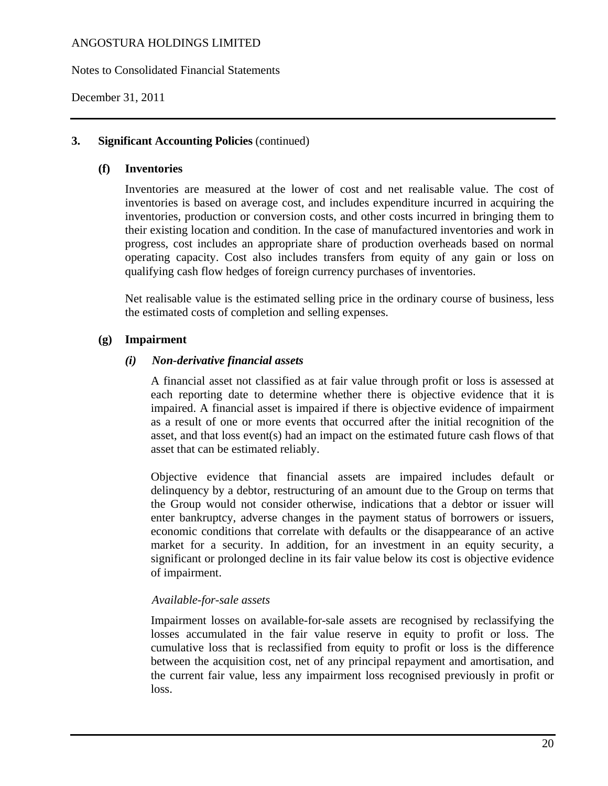Notes to Consolidated Financial Statements

December 31, 2011

#### **3. Significant Accounting Policies** (continued)

#### **(f) Inventories**

Inventories are measured at the lower of cost and net realisable value. The cost of inventories is based on average cost, and includes expenditure incurred in acquiring the inventories, production or conversion costs, and other costs incurred in bringing them to their existing location and condition. In the case of manufactured inventories and work in progress, cost includes an appropriate share of production overheads based on normal operating capacity. Cost also includes transfers from equity of any gain or loss on qualifying cash flow hedges of foreign currency purchases of inventories.

Net realisable value is the estimated selling price in the ordinary course of business, less the estimated costs of completion and selling expenses.

## **(g) Impairment**

## *(i) Non-derivative financial assets*

A financial asset not classified as at fair value through profit or loss is assessed at each reporting date to determine whether there is objective evidence that it is impaired. A financial asset is impaired if there is objective evidence of impairment as a result of one or more events that occurred after the initial recognition of the asset, and that loss event(s) had an impact on the estimated future cash flows of that asset that can be estimated reliably.

Objective evidence that financial assets are impaired includes default or delinquency by a debtor, restructuring of an amount due to the Group on terms that the Group would not consider otherwise, indications that a debtor or issuer will enter bankruptcy, adverse changes in the payment status of borrowers or issuers, economic conditions that correlate with defaults or the disappearance of an active market for a security. In addition, for an investment in an equity security, a significant or prolonged decline in its fair value below its cost is objective evidence of impairment.

#### *Available-for-sale assets*

Impairment losses on available-for-sale assets are recognised by reclassifying the losses accumulated in the fair value reserve in equity to profit or loss. The cumulative loss that is reclassified from equity to profit or loss is the difference between the acquisition cost, net of any principal repayment and amortisation, and the current fair value, less any impairment loss recognised previously in profit or loss.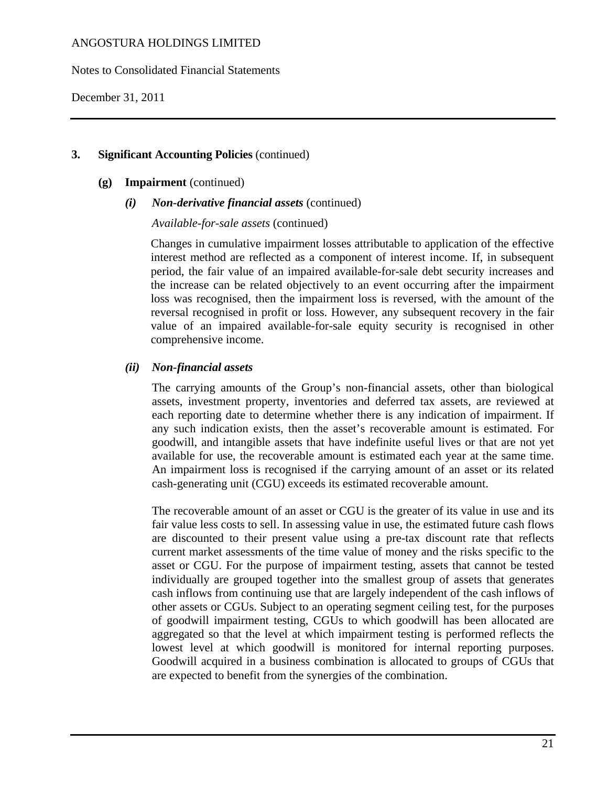Notes to Consolidated Financial Statements

December 31, 2011

#### **3. Significant Accounting Policies** (continued)

#### **(g) Impairment** (continued)

#### *(i) Non-derivative financial assets* (continued)

*Available-for-sale assets* (continued)

Changes in cumulative impairment losses attributable to application of the effective interest method are reflected as a component of interest income. If, in subsequent period, the fair value of an impaired available-for-sale debt security increases and the increase can be related objectively to an event occurring after the impairment loss was recognised, then the impairment loss is reversed, with the amount of the reversal recognised in profit or loss. However, any subsequent recovery in the fair value of an impaired available-for-sale equity security is recognised in other comprehensive income.

## *(ii) Non-financial assets*

The carrying amounts of the Group's non-financial assets, other than biological assets, investment property, inventories and deferred tax assets, are reviewed at each reporting date to determine whether there is any indication of impairment. If any such indication exists, then the asset's recoverable amount is estimated. For goodwill, and intangible assets that have indefinite useful lives or that are not yet available for use, the recoverable amount is estimated each year at the same time. An impairment loss is recognised if the carrying amount of an asset or its related cash-generating unit (CGU) exceeds its estimated recoverable amount.

 The recoverable amount of an asset or CGU is the greater of its value in use and its fair value less costs to sell. In assessing value in use, the estimated future cash flows are discounted to their present value using a pre-tax discount rate that reflects current market assessments of the time value of money and the risks specific to the asset or CGU. For the purpose of impairment testing, assets that cannot be tested individually are grouped together into the smallest group of assets that generates cash inflows from continuing use that are largely independent of the cash inflows of other assets or CGUs. Subject to an operating segment ceiling test, for the purposes of goodwill impairment testing, CGUs to which goodwill has been allocated are aggregated so that the level at which impairment testing is performed reflects the lowest level at which goodwill is monitored for internal reporting purposes. Goodwill acquired in a business combination is allocated to groups of CGUs that are expected to benefit from the synergies of the combination.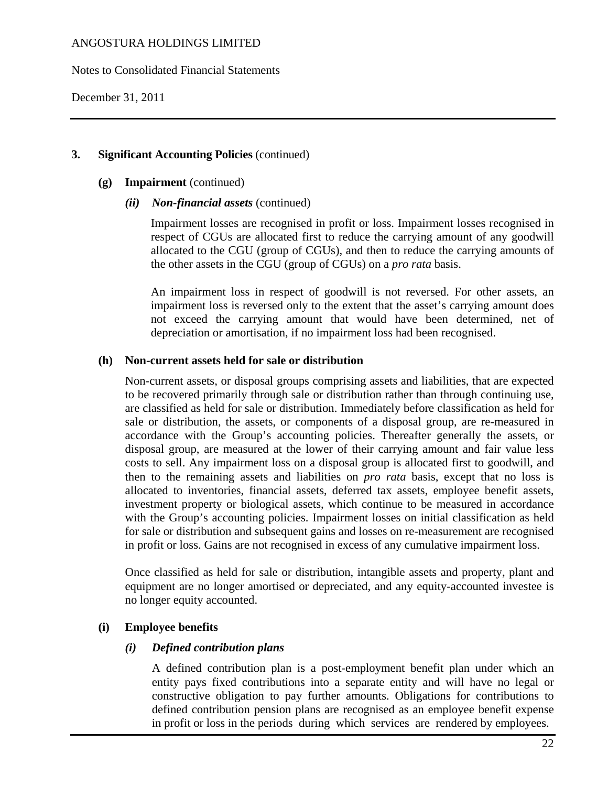Notes to Consolidated Financial Statements

December 31, 2011

#### **3. Significant Accounting Policies** (continued)

#### **(g) Impairment** (continued)

*(ii) Non-financial assets* (continued)

Impairment losses are recognised in profit or loss. Impairment losses recognised in respect of CGUs are allocated first to reduce the carrying amount of any goodwill allocated to the CGU (group of CGUs), and then to reduce the carrying amounts of the other assets in the CGU (group of CGUs) on a *pro rata* basis.

An impairment loss in respect of goodwill is not reversed. For other assets, an impairment loss is reversed only to the extent that the asset's carrying amount does not exceed the carrying amount that would have been determined, net of depreciation or amortisation, if no impairment loss had been recognised.

#### **(h) Non-current assets held for sale or distribution**

Non-current assets, or disposal groups comprising assets and liabilities, that are expected to be recovered primarily through sale or distribution rather than through continuing use, are classified as held for sale or distribution. Immediately before classification as held for sale or distribution, the assets, or components of a disposal group, are re-measured in accordance with the Group's accounting policies. Thereafter generally the assets, or disposal group, are measured at the lower of their carrying amount and fair value less costs to sell. Any impairment loss on a disposal group is allocated first to goodwill, and then to the remaining assets and liabilities on *pro rata* basis, except that no loss is allocated to inventories, financial assets, deferred tax assets, employee benefit assets, investment property or biological assets, which continue to be measured in accordance with the Group's accounting policies. Impairment losses on initial classification as held for sale or distribution and subsequent gains and losses on re-measurement are recognised in profit or loss. Gains are not recognised in excess of any cumulative impairment loss.

Once classified as held for sale or distribution, intangible assets and property, plant and equipment are no longer amortised or depreciated, and any equity-accounted investee is no longer equity accounted.

#### **(i) Employee benefits**

#### *(i) Defined contribution plans*

A defined contribution plan is a post-employment benefit plan under which an entity pays fixed contributions into a separate entity and will have no legal or constructive obligation to pay further amounts. Obligations for contributions to defined contribution pension plans are recognised as an employee benefit expense in profit or loss in the periods during which services are rendered by employees.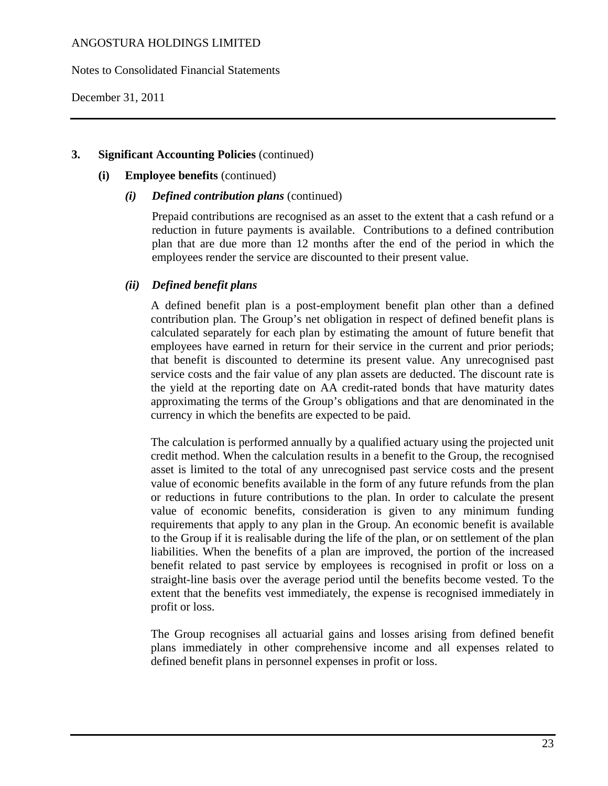Notes to Consolidated Financial Statements

December 31, 2011

### **3. Significant Accounting Policies** (continued)

#### **(i) Employee benefits** (continued)

*(i) Defined contribution plans* (continued)

Prepaid contributions are recognised as an asset to the extent that a cash refund or a reduction in future payments is available. Contributions to a defined contribution plan that are due more than 12 months after the end of the period in which the employees render the service are discounted to their present value.

## *(ii) Defined benefit plans*

A defined benefit plan is a post-employment benefit plan other than a defined contribution plan. The Group's net obligation in respect of defined benefit plans is calculated separately for each plan by estimating the amount of future benefit that employees have earned in return for their service in the current and prior periods; that benefit is discounted to determine its present value. Any unrecognised past service costs and the fair value of any plan assets are deducted. The discount rate is the yield at the reporting date on AA credit-rated bonds that have maturity dates approximating the terms of the Group's obligations and that are denominated in the currency in which the benefits are expected to be paid.

The calculation is performed annually by a qualified actuary using the projected unit credit method. When the calculation results in a benefit to the Group, the recognised asset is limited to the total of any unrecognised past service costs and the present value of economic benefits available in the form of any future refunds from the plan or reductions in future contributions to the plan. In order to calculate the present value of economic benefits, consideration is given to any minimum funding requirements that apply to any plan in the Group. An economic benefit is available to the Group if it is realisable during the life of the plan, or on settlement of the plan liabilities. When the benefits of a plan are improved, the portion of the increased benefit related to past service by employees is recognised in profit or loss on a straight-line basis over the average period until the benefits become vested. To the extent that the benefits vest immediately, the expense is recognised immediately in profit or loss.

The Group recognises all actuarial gains and losses arising from defined benefit plans immediately in other comprehensive income and all expenses related to defined benefit plans in personnel expenses in profit or loss.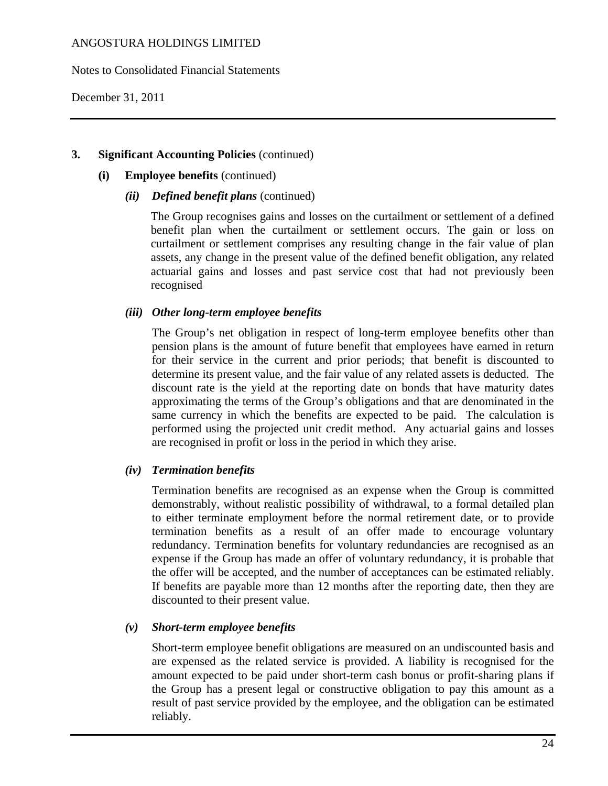Notes to Consolidated Financial Statements

December 31, 2011

### **3. Significant Accounting Policies** (continued)

### **(i) Employee benefits** (continued)

*(ii) Defined benefit plans* (continued)

The Group recognises gains and losses on the curtailment or settlement of a defined benefit plan when the curtailment or settlement occurs. The gain or loss on curtailment or settlement comprises any resulting change in the fair value of plan assets, any change in the present value of the defined benefit obligation, any related actuarial gains and losses and past service cost that had not previously been recognised

## *(iii) Other long-term employee benefits*

 The Group's net obligation in respect of long-term employee benefits other than pension plans is the amount of future benefit that employees have earned in return for their service in the current and prior periods; that benefit is discounted to determine its present value, and the fair value of any related assets is deducted. The discount rate is the yield at the reporting date on bonds that have maturity dates approximating the terms of the Group's obligations and that are denominated in the same currency in which the benefits are expected to be paid. The calculation is performed using the projected unit credit method. Any actuarial gains and losses are recognised in profit or loss in the period in which they arise.

## *(iv) Termination benefits*

 Termination benefits are recognised as an expense when the Group is committed demonstrably, without realistic possibility of withdrawal, to a formal detailed plan to either terminate employment before the normal retirement date, or to provide termination benefits as a result of an offer made to encourage voluntary redundancy. Termination benefits for voluntary redundancies are recognised as an expense if the Group has made an offer of voluntary redundancy, it is probable that the offer will be accepted, and the number of acceptances can be estimated reliably. If benefits are payable more than 12 months after the reporting date, then they are discounted to their present value.

## *(v) Short-term employee benefits*

 Short-term employee benefit obligations are measured on an undiscounted basis and are expensed as the related service is provided. A liability is recognised for the amount expected to be paid under short-term cash bonus or profit-sharing plans if the Group has a present legal or constructive obligation to pay this amount as a result of past service provided by the employee, and the obligation can be estimated reliably.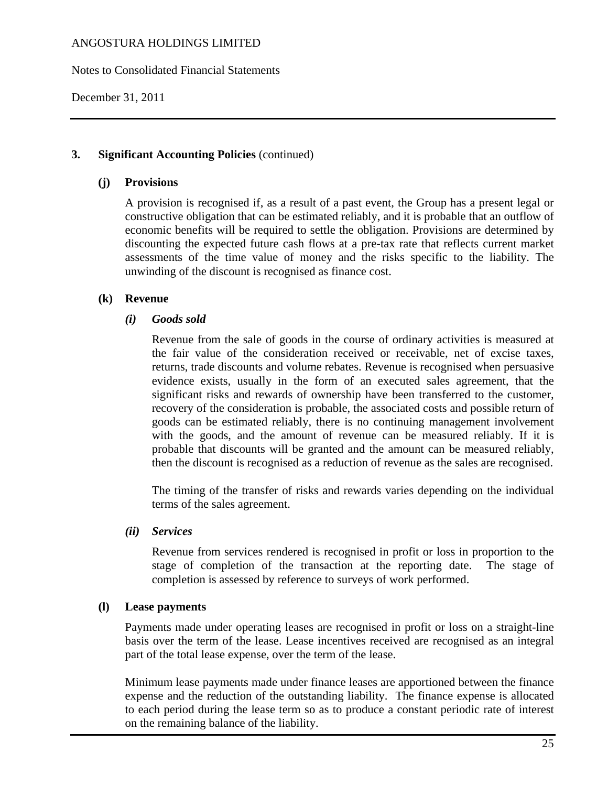Notes to Consolidated Financial Statements

December 31, 2011

### **3. Significant Accounting Policies** (continued)

#### **(j) Provisions**

A provision is recognised if, as a result of a past event, the Group has a present legal or constructive obligation that can be estimated reliably, and it is probable that an outflow of economic benefits will be required to settle the obligation. Provisions are determined by discounting the expected future cash flows at a pre-tax rate that reflects current market assessments of the time value of money and the risks specific to the liability. The unwinding of the discount is recognised as finance cost.

## **(k) Revenue**

*(i) Goods sold* 

Revenue from the sale of goods in the course of ordinary activities is measured at the fair value of the consideration received or receivable, net of excise taxes, returns, trade discounts and volume rebates. Revenue is recognised when persuasive evidence exists, usually in the form of an executed sales agreement, that the significant risks and rewards of ownership have been transferred to the customer, recovery of the consideration is probable, the associated costs and possible return of goods can be estimated reliably, there is no continuing management involvement with the goods, and the amount of revenue can be measured reliably. If it is probable that discounts will be granted and the amount can be measured reliably, then the discount is recognised as a reduction of revenue as the sales are recognised.

The timing of the transfer of risks and rewards varies depending on the individual terms of the sales agreement.

#### *(ii) Services*

Revenue from services rendered is recognised in profit or loss in proportion to the stage of completion of the transaction at the reporting date. The stage of completion is assessed by reference to surveys of work performed.

#### **(l) Lease payments**

 Payments made under operating leases are recognised in profit or loss on a straight-line basis over the term of the lease. Lease incentives received are recognised as an integral part of the total lease expense, over the term of the lease.

 Minimum lease payments made under finance leases are apportioned between the finance expense and the reduction of the outstanding liability. The finance expense is allocated to each period during the lease term so as to produce a constant periodic rate of interest on the remaining balance of the liability.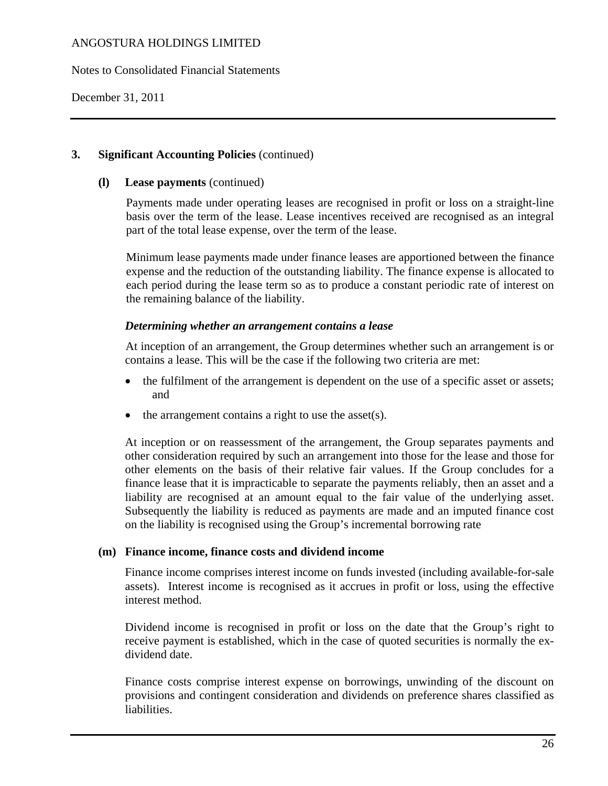Notes to Consolidated Financial Statements

December 31, 2011

## **3. Significant Accounting Policies** (continued)

### **(l) Lease payments** (continued)

Payments made under operating leases are recognised in profit or loss on a straight-line basis over the term of the lease. Lease incentives received are recognised as an integral part of the total lease expense, over the term of the lease.

Minimum lease payments made under finance leases are apportioned between the finance expense and the reduction of the outstanding liability. The finance expense is allocated to each period during the lease term so as to produce a constant periodic rate of interest on the remaining balance of the liability.

## *Determining whether an arrangement contains a lease*

At inception of an arrangement, the Group determines whether such an arrangement is or contains a lease. This will be the case if the following two criteria are met:

- the fulfilment of the arrangement is dependent on the use of a specific asset or assets; and
- $\bullet$  the arrangement contains a right to use the asset(s).

At inception or on reassessment of the arrangement, the Group separates payments and other consideration required by such an arrangement into those for the lease and those for other elements on the basis of their relative fair values. If the Group concludes for a finance lease that it is impracticable to separate the payments reliably, then an asset and a liability are recognised at an amount equal to the fair value of the underlying asset. Subsequently the liability is reduced as payments are made and an imputed finance cost on the liability is recognised using the Group's incremental borrowing rate

#### **(m) Finance income, finance costs and dividend income**

 Finance income comprises interest income on funds invested (including available-for-sale assets). Interest income is recognised as it accrues in profit or loss, using the effective interest method.

 Dividend income is recognised in profit or loss on the date that the Group's right to receive payment is established, which in the case of quoted securities is normally the exdividend date.

 Finance costs comprise interest expense on borrowings, unwinding of the discount on provisions and contingent consideration and dividends on preference shares classified as liabilities.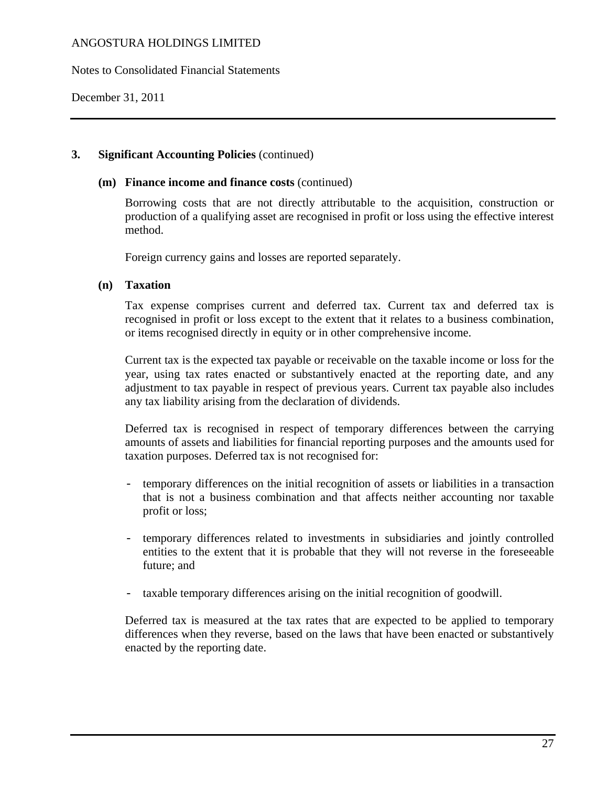Notes to Consolidated Financial Statements

December 31, 2011

#### **3. Significant Accounting Policies** (continued)

#### **(m) Finance income and finance costs** (continued)

Borrowing costs that are not directly attributable to the acquisition, construction or production of a qualifying asset are recognised in profit or loss using the effective interest method.

Foreign currency gains and losses are reported separately.

#### **(n) Taxation**

Tax expense comprises current and deferred tax. Current tax and deferred tax is recognised in profit or loss except to the extent that it relates to a business combination, or items recognised directly in equity or in other comprehensive income.

Current tax is the expected tax payable or receivable on the taxable income or loss for the year, using tax rates enacted or substantively enacted at the reporting date, and any adjustment to tax payable in respect of previous years. Current tax payable also includes any tax liability arising from the declaration of dividends.

Deferred tax is recognised in respect of temporary differences between the carrying amounts of assets and liabilities for financial reporting purposes and the amounts used for taxation purposes. Deferred tax is not recognised for:

- temporary differences on the initial recognition of assets or liabilities in a transaction that is not a business combination and that affects neither accounting nor taxable profit or loss;
- temporary differences related to investments in subsidiaries and jointly controlled entities to the extent that it is probable that they will not reverse in the foreseeable future; and
- taxable temporary differences arising on the initial recognition of goodwill.

Deferred tax is measured at the tax rates that are expected to be applied to temporary differences when they reverse, based on the laws that have been enacted or substantively enacted by the reporting date.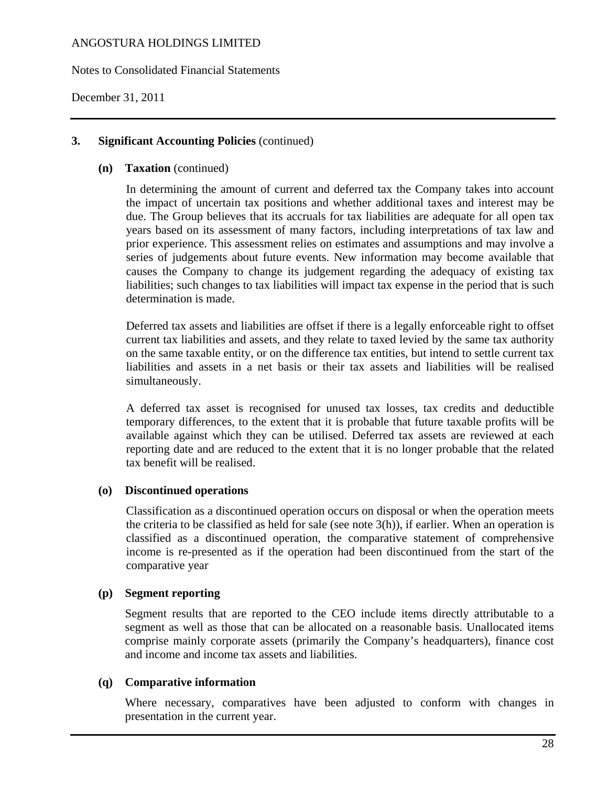Notes to Consolidated Financial Statements

December 31, 2011

### **3. Significant Accounting Policies** (continued)

#### **(n) Taxation** (continued)

In determining the amount of current and deferred tax the Company takes into account the impact of uncertain tax positions and whether additional taxes and interest may be due. The Group believes that its accruals for tax liabilities are adequate for all open tax years based on its assessment of many factors, including interpretations of tax law and prior experience. This assessment relies on estimates and assumptions and may involve a series of judgements about future events. New information may become available that causes the Company to change its judgement regarding the adequacy of existing tax liabilities; such changes to tax liabilities will impact tax expense in the period that is such determination is made.

Deferred tax assets and liabilities are offset if there is a legally enforceable right to offset current tax liabilities and assets, and they relate to taxed levied by the same tax authority on the same taxable entity, or on the difference tax entities, but intend to settle current tax liabilities and assets in a net basis or their tax assets and liabilities will be realised simultaneously.

A deferred tax asset is recognised for unused tax losses, tax credits and deductible temporary differences, to the extent that it is probable that future taxable profits will be available against which they can be utilised. Deferred tax assets are reviewed at each reporting date and are reduced to the extent that it is no longer probable that the related tax benefit will be realised.

#### **(o) Discontinued operations**

Classification as a discontinued operation occurs on disposal or when the operation meets the criteria to be classified as held for sale (see note 3(h)), if earlier. When an operation is classified as a discontinued operation, the comparative statement of comprehensive income is re-presented as if the operation had been discontinued from the start of the comparative year

#### **(p) Segment reporting**

Segment results that are reported to the CEO include items directly attributable to a segment as well as those that can be allocated on a reasonable basis. Unallocated items comprise mainly corporate assets (primarily the Company's headquarters), finance cost and income and income tax assets and liabilities.

## **(q) Comparative information**

Where necessary, comparatives have been adjusted to conform with changes in presentation in the current year.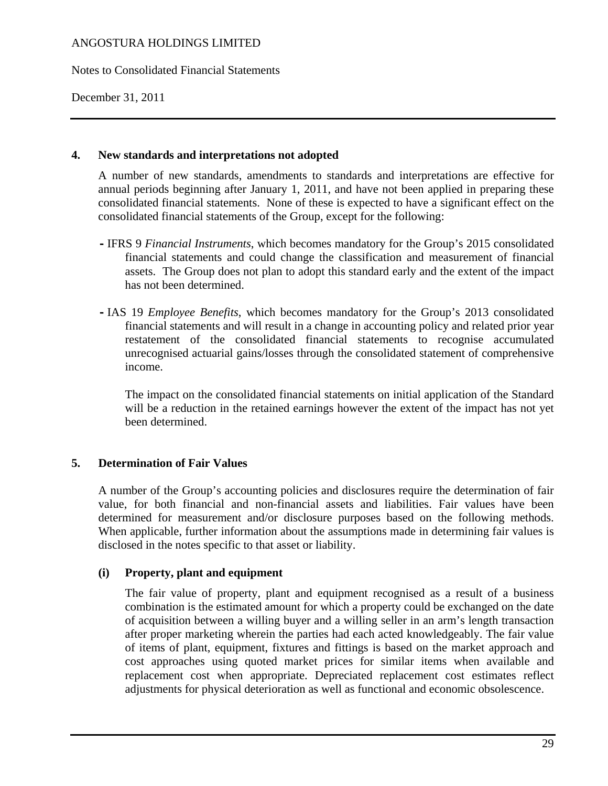Notes to Consolidated Financial Statements

December 31, 2011

#### **4. New standards and interpretations not adopted**

A number of new standards, amendments to standards and interpretations are effective for annual periods beginning after January 1, 2011, and have not been applied in preparing these consolidated financial statements. None of these is expected to have a significant effect on the consolidated financial statements of the Group, except for the following:

- **-**IFRS 9 *Financial Instruments*, which becomes mandatory for the Group's 2015 consolidated financial statements and could change the classification and measurement of financial assets. The Group does not plan to adopt this standard early and the extent of the impact has not been determined.
- **-**IAS 19 *Employee Benefits*, which becomes mandatory for the Group's 2013 consolidated financial statements and will result in a change in accounting policy and related prior year restatement of the consolidated financial statements to recognise accumulated unrecognised actuarial gains/losses through the consolidated statement of comprehensive income.

The impact on the consolidated financial statements on initial application of the Standard will be a reduction in the retained earnings however the extent of the impact has not yet been determined.

## **5. Determination of Fair Values**

A number of the Group's accounting policies and disclosures require the determination of fair value, for both financial and non-financial assets and liabilities. Fair values have been determined for measurement and/or disclosure purposes based on the following methods. When applicable, further information about the assumptions made in determining fair values is disclosed in the notes specific to that asset or liability.

#### **(i) Property, plant and equipment**

 The fair value of property, plant and equipment recognised as a result of a business combination is the estimated amount for which a property could be exchanged on the date of acquisition between a willing buyer and a willing seller in an arm's length transaction after proper marketing wherein the parties had each acted knowledgeably. The fair value of items of plant, equipment, fixtures and fittings is based on the market approach and cost approaches using quoted market prices for similar items when available and replacement cost when appropriate. Depreciated replacement cost estimates reflect adjustments for physical deterioration as well as functional and economic obsolescence.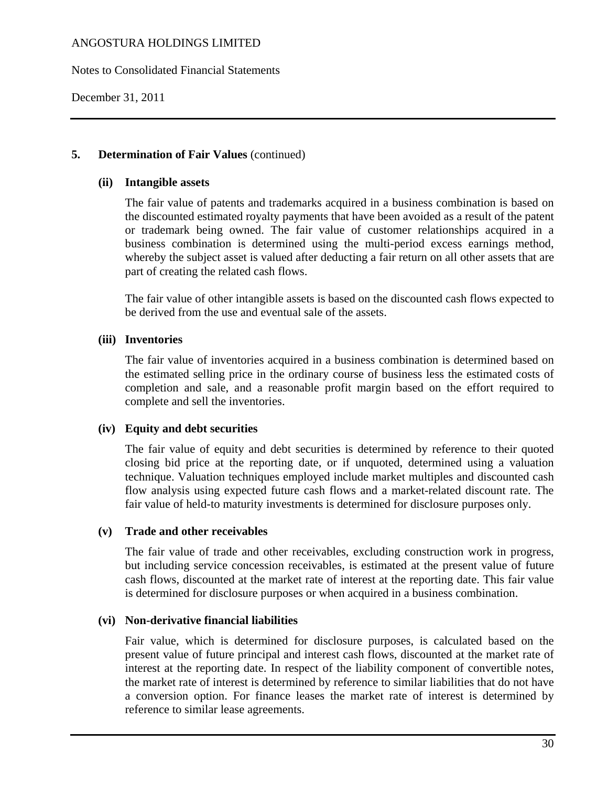Notes to Consolidated Financial Statements

December 31, 2011

### **5.** Determination of Fair Values (continued)

#### **(ii) Intangible assets**

The fair value of patents and trademarks acquired in a business combination is based on the discounted estimated royalty payments that have been avoided as a result of the patent or trademark being owned. The fair value of customer relationships acquired in a business combination is determined using the multi-period excess earnings method, whereby the subject asset is valued after deducting a fair return on all other assets that are part of creating the related cash flows.

The fair value of other intangible assets is based on the discounted cash flows expected to be derived from the use and eventual sale of the assets.

## **(iii) Inventories**

 The fair value of inventories acquired in a business combination is determined based on the estimated selling price in the ordinary course of business less the estimated costs of completion and sale, and a reasonable profit margin based on the effort required to complete and sell the inventories.

#### **(iv) Equity and debt securities**

 The fair value of equity and debt securities is determined by reference to their quoted closing bid price at the reporting date, or if unquoted, determined using a valuation technique. Valuation techniques employed include market multiples and discounted cash flow analysis using expected future cash flows and a market-related discount rate. The fair value of held-to maturity investments is determined for disclosure purposes only.

#### **(v) Trade and other receivables**

 The fair value of trade and other receivables, excluding construction work in progress, but including service concession receivables, is estimated at the present value of future cash flows, discounted at the market rate of interest at the reporting date. This fair value is determined for disclosure purposes or when acquired in a business combination.

#### **(vi) Non-derivative financial liabilities**

 Fair value, which is determined for disclosure purposes, is calculated based on the present value of future principal and interest cash flows, discounted at the market rate of interest at the reporting date. In respect of the liability component of convertible notes, the market rate of interest is determined by reference to similar liabilities that do not have a conversion option. For finance leases the market rate of interest is determined by reference to similar lease agreements.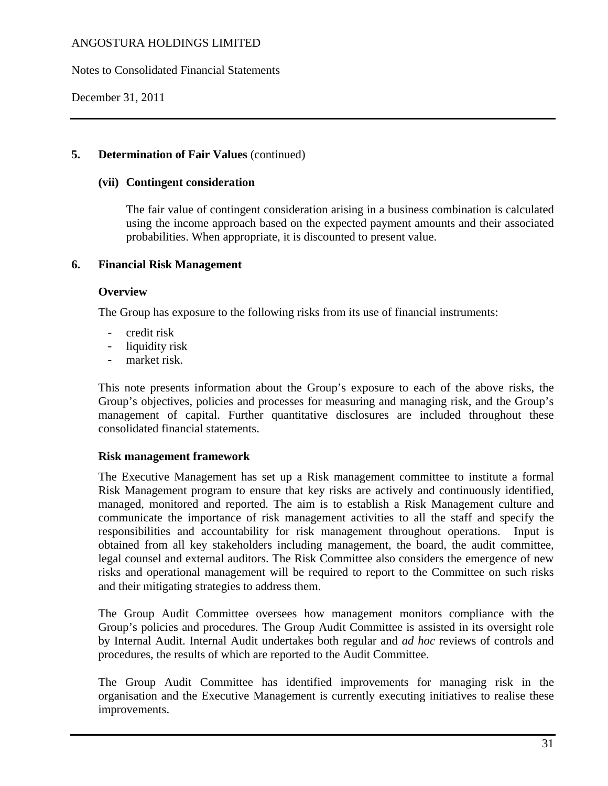Notes to Consolidated Financial Statements

December 31, 2011

## **5.** Determination of Fair Values (continued)

## **(vii) Contingent consideration**

The fair value of contingent consideration arising in a business combination is calculated using the income approach based on the expected payment amounts and their associated probabilities. When appropriate, it is discounted to present value.

## **6. Financial Risk Management**

## **Overview**

The Group has exposure to the following risks from its use of financial instruments:

- credit risk
- liquidity risk
- market risk.

This note presents information about the Group's exposure to each of the above risks, the Group's objectives, policies and processes for measuring and managing risk, and the Group's management of capital. Further quantitative disclosures are included throughout these consolidated financial statements.

## **Risk management framework**

The Executive Management has set up a Risk management committee to institute a formal Risk Management program to ensure that key risks are actively and continuously identified, managed, monitored and reported. The aim is to establish a Risk Management culture and communicate the importance of risk management activities to all the staff and specify the responsibilities and accountability for risk management throughout operations. Input is obtained from all key stakeholders including management, the board, the audit committee, legal counsel and external auditors. The Risk Committee also considers the emergence of new risks and operational management will be required to report to the Committee on such risks and their mitigating strategies to address them.

The Group Audit Committee oversees how management monitors compliance with the Group's policies and procedures. The Group Audit Committee is assisted in its oversight role by Internal Audit. Internal Audit undertakes both regular and *ad hoc* reviews of controls and procedures, the results of which are reported to the Audit Committee.

The Group Audit Committee has identified improvements for managing risk in the organisation and the Executive Management is currently executing initiatives to realise these improvements.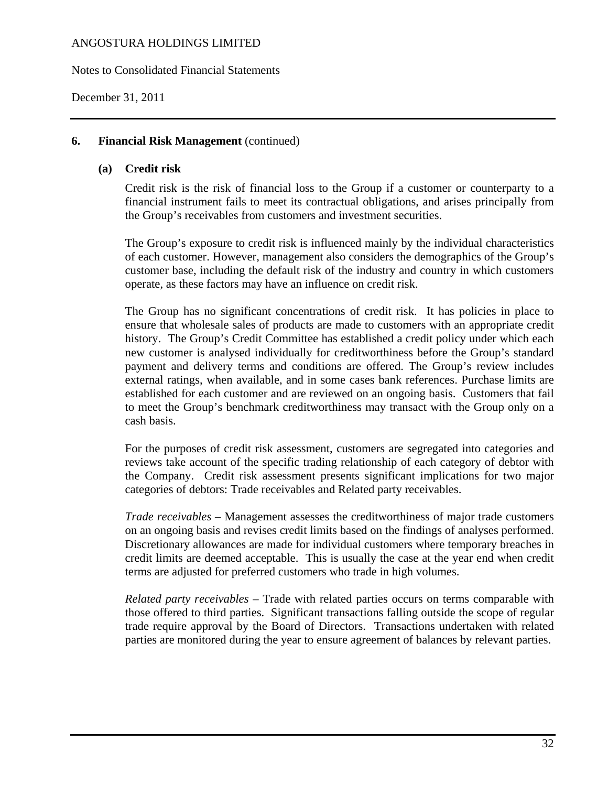Notes to Consolidated Financial Statements

December 31, 2011

### **6. Financial Risk Management** (continued)

### **(a) Credit risk**

Credit risk is the risk of financial loss to the Group if a customer or counterparty to a financial instrument fails to meet its contractual obligations, and arises principally from the Group's receivables from customers and investment securities.

The Group's exposure to credit risk is influenced mainly by the individual characteristics of each customer. However, management also considers the demographics of the Group's customer base, including the default risk of the industry and country in which customers operate, as these factors may have an influence on credit risk.

The Group has no significant concentrations of credit risk. It has policies in place to ensure that wholesale sales of products are made to customers with an appropriate credit history. The Group's Credit Committee has established a credit policy under which each new customer is analysed individually for creditworthiness before the Group's standard payment and delivery terms and conditions are offered. The Group's review includes external ratings, when available, and in some cases bank references. Purchase limits are established for each customer and are reviewed on an ongoing basis. Customers that fail to meet the Group's benchmark creditworthiness may transact with the Group only on a cash basis.

For the purposes of credit risk assessment, customers are segregated into categories and reviews take account of the specific trading relationship of each category of debtor with the Company. Credit risk assessment presents significant implications for two major categories of debtors: Trade receivables and Related party receivables.

*Trade receivables* – Management assesses the creditworthiness of major trade customers on an ongoing basis and revises credit limits based on the findings of analyses performed. Discretionary allowances are made for individual customers where temporary breaches in credit limits are deemed acceptable. This is usually the case at the year end when credit terms are adjusted for preferred customers who trade in high volumes.

*Related party receivables* – Trade with related parties occurs on terms comparable with those offered to third parties. Significant transactions falling outside the scope of regular trade require approval by the Board of Directors. Transactions undertaken with related parties are monitored during the year to ensure agreement of balances by relevant parties.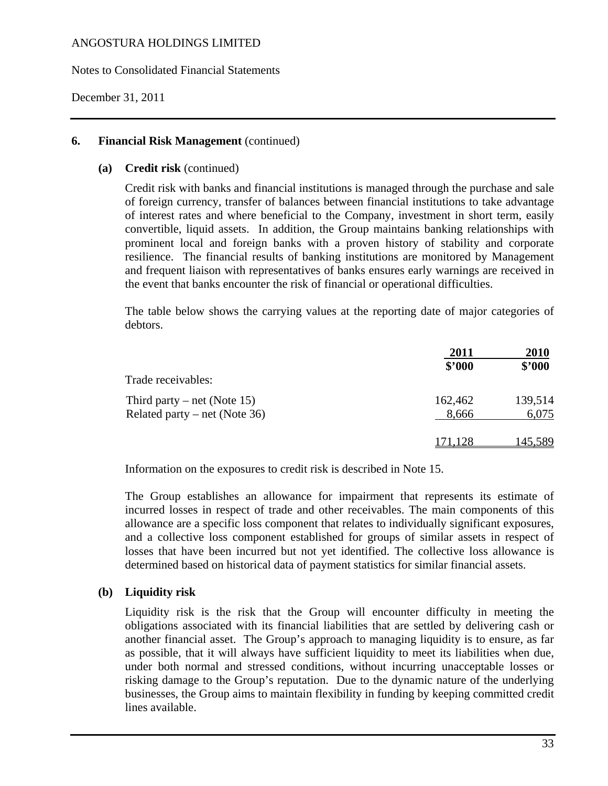Notes to Consolidated Financial Statements

December 31, 2011

#### **6. Financial Risk Management** (continued)

#### **(a) Credit risk** (continued)

Credit risk with banks and financial institutions is managed through the purchase and sale of foreign currency, transfer of balances between financial institutions to take advantage of interest rates and where beneficial to the Company, investment in short term, easily convertible, liquid assets. In addition, the Group maintains banking relationships with prominent local and foreign banks with a proven history of stability and corporate resilience. The financial results of banking institutions are monitored by Management and frequent liaison with representatives of banks ensures early warnings are received in the event that banks encounter the risk of financial or operational difficulties.

The table below shows the carrying values at the reporting date of major categories of debtors.

|                               | 2011<br>\$2000 | <b>2010</b><br>\$'000 |
|-------------------------------|----------------|-----------------------|
| Trade receivables:            |                |                       |
| Third party – net (Note 15)   | 162,462        | 139,514               |
| Related party – net (Note 36) | 8,666          | 6,075                 |
|                               | 171.128        | <u>145,589</u>        |

Information on the exposures to credit risk is described in Note 15.

The Group establishes an allowance for impairment that represents its estimate of incurred losses in respect of trade and other receivables. The main components of this allowance are a specific loss component that relates to individually significant exposures, and a collective loss component established for groups of similar assets in respect of losses that have been incurred but not yet identified. The collective loss allowance is determined based on historical data of payment statistics for similar financial assets.

#### **(b) Liquidity risk**

Liquidity risk is the risk that the Group will encounter difficulty in meeting the obligations associated with its financial liabilities that are settled by delivering cash or another financial asset. The Group's approach to managing liquidity is to ensure, as far as possible, that it will always have sufficient liquidity to meet its liabilities when due, under both normal and stressed conditions, without incurring unacceptable losses or risking damage to the Group's reputation. Due to the dynamic nature of the underlying businesses, the Group aims to maintain flexibility in funding by keeping committed credit lines available.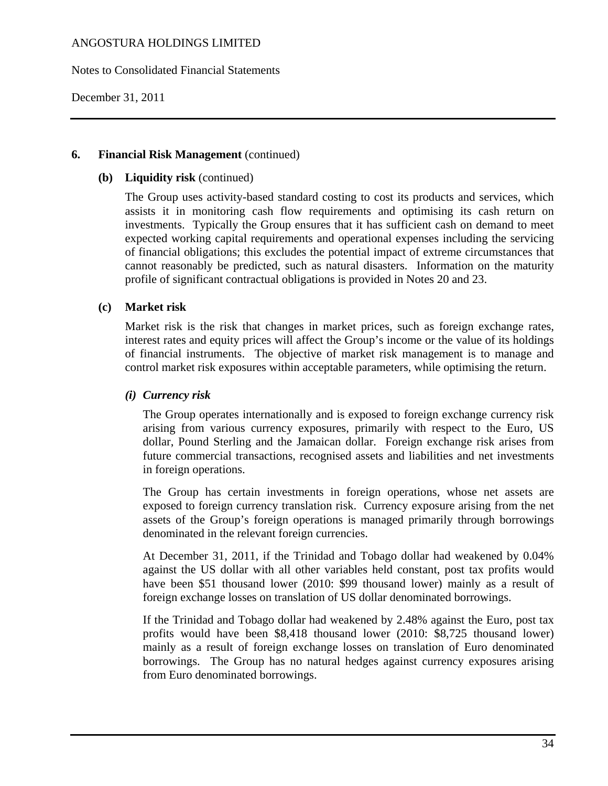Notes to Consolidated Financial Statements

December 31, 2011

#### **6. Financial Risk Management** (continued)

#### **(b) Liquidity risk** (continued)

The Group uses activity-based standard costing to cost its products and services, which assists it in monitoring cash flow requirements and optimising its cash return on investments. Typically the Group ensures that it has sufficient cash on demand to meet expected working capital requirements and operational expenses including the servicing of financial obligations; this excludes the potential impact of extreme circumstances that cannot reasonably be predicted, such as natural disasters. Information on the maturity profile of significant contractual obligations is provided in Notes 20 and 23.

#### **(c) Market risk**

Market risk is the risk that changes in market prices, such as foreign exchange rates, interest rates and equity prices will affect the Group's income or the value of its holdings of financial instruments. The objective of market risk management is to manage and control market risk exposures within acceptable parameters, while optimising the return.

#### *(i) Currency risk*

 The Group operates internationally and is exposed to foreign exchange currency risk arising from various currency exposures, primarily with respect to the Euro, US dollar, Pound Sterling and the Jamaican dollar. Foreign exchange risk arises from future commercial transactions, recognised assets and liabilities and net investments in foreign operations.

 The Group has certain investments in foreign operations, whose net assets are exposed to foreign currency translation risk. Currency exposure arising from the net assets of the Group's foreign operations is managed primarily through borrowings denominated in the relevant foreign currencies.

 At December 31, 2011, if the Trinidad and Tobago dollar had weakened by 0.04% against the US dollar with all other variables held constant, post tax profits would have been \$51 thousand lower (2010: \$99 thousand lower) mainly as a result of foreign exchange losses on translation of US dollar denominated borrowings.

 If the Trinidad and Tobago dollar had weakened by 2.48% against the Euro, post tax profits would have been \$8,418 thousand lower (2010: \$8,725 thousand lower) mainly as a result of foreign exchange losses on translation of Euro denominated borrowings. The Group has no natural hedges against currency exposures arising from Euro denominated borrowings.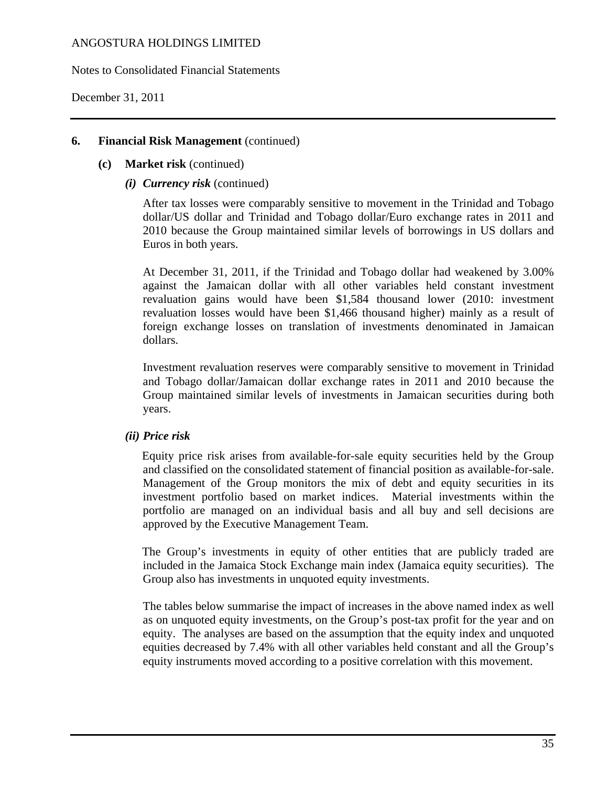Notes to Consolidated Financial Statements

December 31, 2011

#### **6. Financial Risk Management** (continued)

#### **(c) Market risk** (continued)

*(i) Currency risk* (continued)

 After tax losses were comparably sensitive to movement in the Trinidad and Tobago dollar/US dollar and Trinidad and Tobago dollar/Euro exchange rates in 2011 and 2010 because the Group maintained similar levels of borrowings in US dollars and Euros in both years.

At December 31, 2011, if the Trinidad and Tobago dollar had weakened by 3.00% against the Jamaican dollar with all other variables held constant investment revaluation gains would have been \$1,584 thousand lower (2010: investment revaluation losses would have been \$1,466 thousand higher) mainly as a result of foreign exchange losses on translation of investments denominated in Jamaican dollars.

Investment revaluation reserves were comparably sensitive to movement in Trinidad and Tobago dollar/Jamaican dollar exchange rates in 2011 and 2010 because the Group maintained similar levels of investments in Jamaican securities during both years.

#### *(ii) Price risk*

Equity price risk arises from available-for-sale equity securities held by the Group and classified on the consolidated statement of financial position as available-for-sale. Management of the Group monitors the mix of debt and equity securities in its investment portfolio based on market indices. Material investments within the portfolio are managed on an individual basis and all buy and sell decisions are approved by the Executive Management Team.

The Group's investments in equity of other entities that are publicly traded are included in the Jamaica Stock Exchange main index (Jamaica equity securities). The Group also has investments in unquoted equity investments.

The tables below summarise the impact of increases in the above named index as well as on unquoted equity investments, on the Group's post-tax profit for the year and on equity. The analyses are based on the assumption that the equity index and unquoted equities decreased by 7.4% with all other variables held constant and all the Group's equity instruments moved according to a positive correlation with this movement.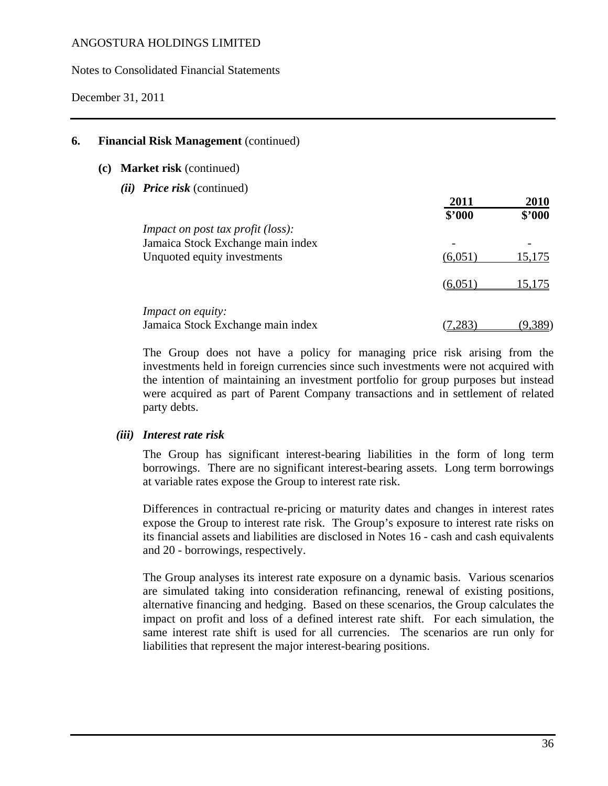Notes to Consolidated Financial Statements

December 31, 2011

#### **6. Financial Risk Management** (continued)

#### **(c) Market risk** (continued)

 *(ii) Price risk* (continued)

|                                          | 2011    | 2010          |
|------------------------------------------|---------|---------------|
|                                          | \$2000  | \$3000        |
| <i>Impact on post tax profit (loss):</i> |         |               |
| Jamaica Stock Exchange main index        |         |               |
| Unquoted equity investments              | (6,051) | 15,175        |
|                                          |         |               |
|                                          | (6.051) | <u>15,175</u> |
|                                          |         |               |
| <i>Impact on equity:</i>                 |         |               |
| Jamaica Stock Exchange main index        | ' 283   | (9.389        |

The Group does not have a policy for managing price risk arising from the investments held in foreign currencies since such investments were not acquired with the intention of maintaining an investment portfolio for group purposes but instead were acquired as part of Parent Company transactions and in settlement of related party debts.

#### *(iii) Interest rate risk*

The Group has significant interest-bearing liabilities in the form of long term borrowings. There are no significant interest-bearing assets. Long term borrowings at variable rates expose the Group to interest rate risk.

Differences in contractual re-pricing or maturity dates and changes in interest rates expose the Group to interest rate risk. The Group's exposure to interest rate risks on its financial assets and liabilities are disclosed in Notes 16 - cash and cash equivalents and 20 - borrowings, respectively.

The Group analyses its interest rate exposure on a dynamic basis. Various scenarios are simulated taking into consideration refinancing, renewal of existing positions, alternative financing and hedging. Based on these scenarios, the Group calculates the impact on profit and loss of a defined interest rate shift. For each simulation, the same interest rate shift is used for all currencies. The scenarios are run only for liabilities that represent the major interest-bearing positions.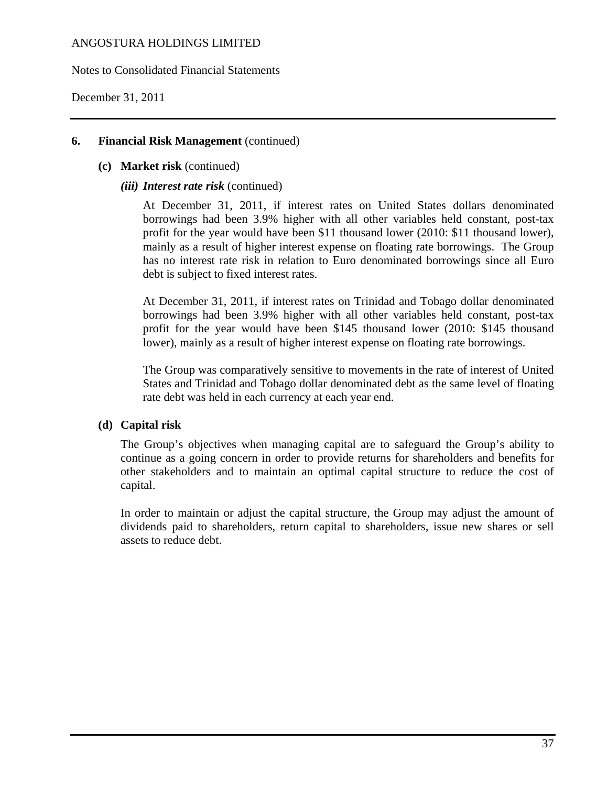Notes to Consolidated Financial Statements

December 31, 2011

#### **6. Financial Risk Management** (continued)

#### **(c) Market risk** (continued)

#### *(iii) Interest rate risk (continued)*

At December 31, 2011, if interest rates on United States dollars denominated borrowings had been 3.9% higher with all other variables held constant, post-tax profit for the year would have been \$11 thousand lower (2010: \$11 thousand lower), mainly as a result of higher interest expense on floating rate borrowings. The Group has no interest rate risk in relation to Euro denominated borrowings since all Euro debt is subject to fixed interest rates.

At December 31, 2011, if interest rates on Trinidad and Tobago dollar denominated borrowings had been 3.9% higher with all other variables held constant, post-tax profit for the year would have been \$145 thousand lower (2010: \$145 thousand lower), mainly as a result of higher interest expense on floating rate borrowings.

The Group was comparatively sensitive to movements in the rate of interest of United States and Trinidad and Tobago dollar denominated debt as the same level of floating rate debt was held in each currency at each year end.

#### **(d) Capital risk**

The Group's objectives when managing capital are to safeguard the Group's ability to continue as a going concern in order to provide returns for shareholders and benefits for other stakeholders and to maintain an optimal capital structure to reduce the cost of capital.

In order to maintain or adjust the capital structure, the Group may adjust the amount of dividends paid to shareholders, return capital to shareholders, issue new shares or sell assets to reduce debt.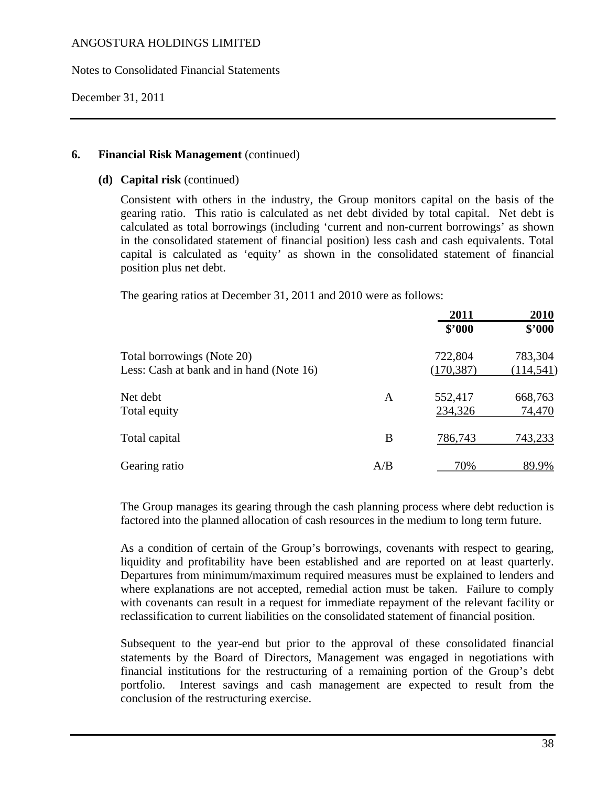Notes to Consolidated Financial Statements

December 31, 2011

#### **6. Financial Risk Management** (continued)

#### **(d) Capital risk** (continued)

Consistent with others in the industry, the Group monitors capital on the basis of the gearing ratio. This ratio is calculated as net debt divided by total capital. Net debt is calculated as total borrowings (including 'current and non-current borrowings' as shown in the consolidated statement of financial position) less cash and cash equivalents. Total capital is calculated as 'equity' as shown in the consolidated statement of financial position plus net debt.

The gearing ratios at December 31, 2011 and 2010 were as follows:

|                                          |     | 2011       | 2010       |
|------------------------------------------|-----|------------|------------|
|                                          |     | \$2000     | \$2000     |
| Total borrowings (Note 20)               |     | 722,804    | 783,304    |
| Less: Cash at bank and in hand (Note 16) |     | (170, 387) | (114, 541) |
| Net debt                                 | A   | 552,417    | 668,763    |
| Total equity                             |     | 234,326    | 74,470     |
| Total capital                            | B   | 786,743    | 743,233    |
| Gearing ratio                            | A/B | 70%        | 89.9%      |

The Group manages its gearing through the cash planning process where debt reduction is factored into the planned allocation of cash resources in the medium to long term future.

As a condition of certain of the Group's borrowings, covenants with respect to gearing, liquidity and profitability have been established and are reported on at least quarterly. Departures from minimum/maximum required measures must be explained to lenders and where explanations are not accepted, remedial action must be taken. Failure to comply with covenants can result in a request for immediate repayment of the relevant facility or reclassification to current liabilities on the consolidated statement of financial position.

Subsequent to the year-end but prior to the approval of these consolidated financial statements by the Board of Directors, Management was engaged in negotiations with financial institutions for the restructuring of a remaining portion of the Group's debt portfolio. Interest savings and cash management are expected to result from the conclusion of the restructuring exercise.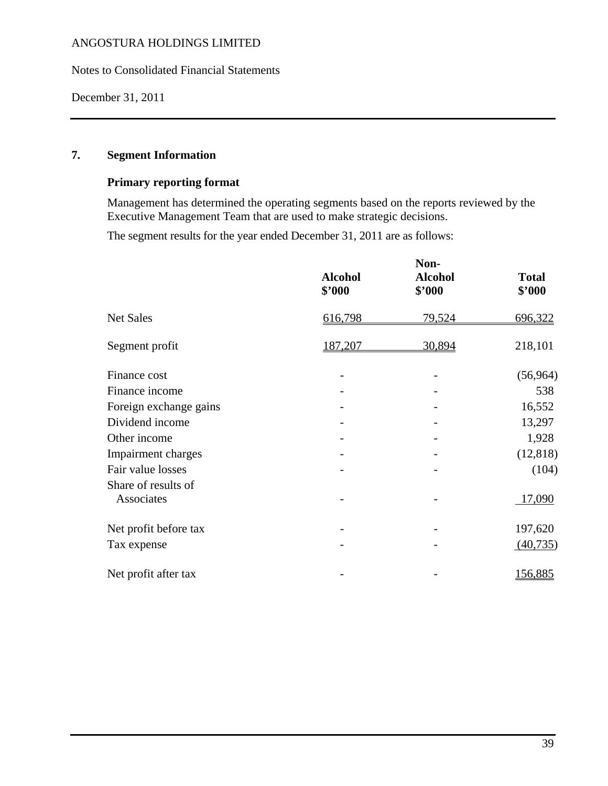Notes to Consolidated Financial Statements

December 31, 2011

# **7. Segment Information**

## **Primary reporting format**

Management has determined the operating segments based on the reports reviewed by the Executive Management Team that are used to make strategic decisions.

The segment results for the year ended December 31, 2011 are as follows:

|                                   | <b>Alcohol</b><br>\$2000 | Non-<br><b>Alcohol</b><br>\$'000 | <b>Total</b><br>\$'000 |
|-----------------------------------|--------------------------|----------------------------------|------------------------|
| Net Sales                         | 616,798                  | 79,524                           | 696,322                |
| Segment profit                    | 187,207                  | 30,894                           | 218,101                |
| Finance cost                      |                          |                                  | (56, 964)              |
| Finance income                    |                          |                                  | 538                    |
| Foreign exchange gains            |                          |                                  | 16,552                 |
| Dividend income                   |                          |                                  | 13,297                 |
| Other income                      |                          |                                  | 1,928                  |
| Impairment charges                |                          |                                  | (12, 818)              |
| Fair value losses                 |                          |                                  | (104)                  |
| Share of results of<br>Associates |                          |                                  | 17,090                 |
| Net profit before tax             |                          |                                  | 197,620                |
| Tax expense                       |                          |                                  | (40, 735)              |
| Net profit after tax              |                          |                                  | 156,885                |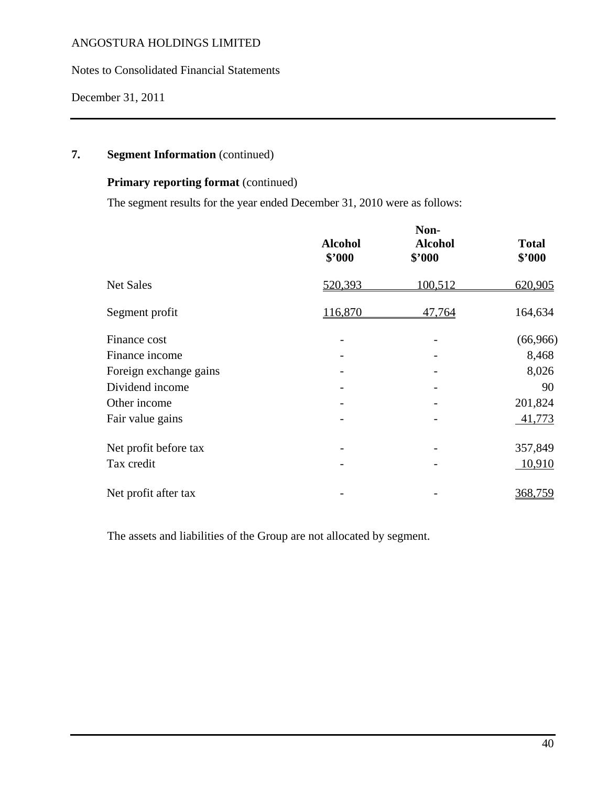Notes to Consolidated Financial Statements

December 31, 2011

## **7.** Segment Information (continued)

## **Primary reporting format (continued)**

The segment results for the year ended December 31, 2010 were as follows:

|                        | <b>Alcohol</b><br>\$'000 | Non-<br><b>Alcohol</b><br>\$'000 | <b>Total</b><br>\$'000 |
|------------------------|--------------------------|----------------------------------|------------------------|
| <b>Net Sales</b>       | 520,393                  | 100,512                          | 620,905                |
| Segment profit         | 116,870                  | 47,764                           | 164,634                |
| Finance cost           |                          |                                  | (66,966)               |
| Finance income         |                          |                                  | 8,468                  |
| Foreign exchange gains |                          |                                  | 8,026                  |
| Dividend income        |                          |                                  | 90                     |
| Other income           |                          |                                  | 201,824                |
| Fair value gains       |                          |                                  | 41,773                 |
| Net profit before tax  |                          |                                  | 357,849                |
| Tax credit             |                          |                                  | 10,910                 |
| Net profit after tax   |                          |                                  | 368,759                |
|                        |                          |                                  |                        |

The assets and liabilities of the Group are not allocated by segment.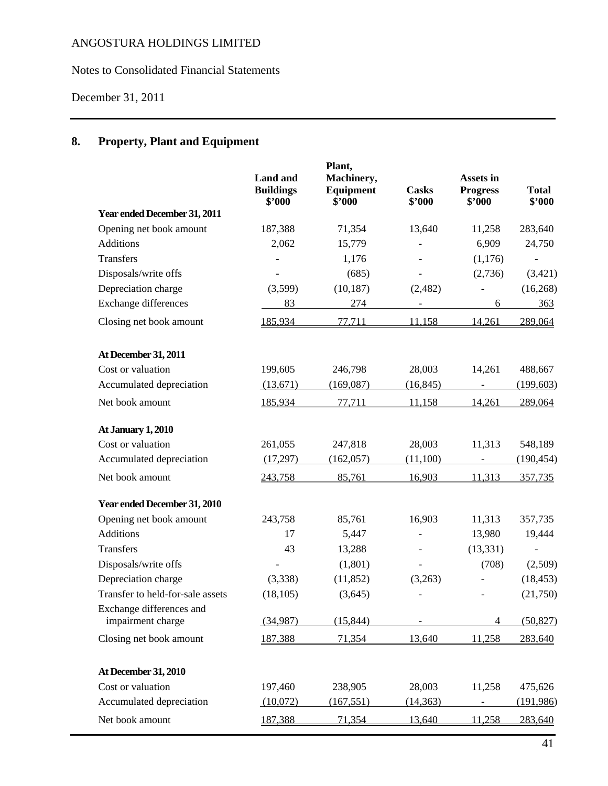Notes to Consolidated Financial Statements

December 31, 2011

# **8. Property, Plant and Equipment**

|                                               | <b>Land</b> and<br><b>Buildings</b><br>\$'000 | Plant,<br>Machinery,<br>Equipment<br>\$'000 | <b>Casks</b><br>\$'000 | Assets in<br><b>Progress</b><br>\$'000 | <b>Total</b><br>\$'000 |
|-----------------------------------------------|-----------------------------------------------|---------------------------------------------|------------------------|----------------------------------------|------------------------|
| Year ended December 31, 2011                  |                                               |                                             |                        |                                        |                        |
| Opening net book amount                       | 187,388                                       | 71,354                                      | 13,640                 | 11,258                                 | 283,640                |
| Additions                                     | 2,062                                         | 15,779                                      |                        | 6,909                                  | 24,750                 |
| Transfers                                     |                                               | 1,176                                       |                        | (1,176)                                |                        |
| Disposals/write offs                          |                                               | (685)                                       |                        | (2,736)                                | (3,421)                |
| Depreciation charge                           | (3,599)                                       | (10, 187)                                   | (2,482)                |                                        | (16, 268)              |
| Exchange differences                          | 83                                            | 274                                         |                        | 6                                      | 363                    |
| Closing net book amount                       | 185,934                                       | 77,711                                      | 11,158                 | 14,261                                 | 289,064                |
| At December 31, 2011                          |                                               |                                             |                        |                                        |                        |
| Cost or valuation                             | 199,605                                       | 246,798                                     | 28,003                 | 14,261                                 | 488,667                |
| Accumulated depreciation                      | (13,671)                                      | (169,087)                                   | (16, 845)              | $\overline{\phantom{a}}$               | (199, 603)             |
| Net book amount                               | 185,934                                       | 77,711                                      | 11,158                 | 14,261                                 | 289,064                |
| At January 1, 2010                            |                                               |                                             |                        |                                        |                        |
| Cost or valuation                             | 261,055                                       | 247,818                                     | 28,003                 | 11,313                                 | 548,189                |
| Accumulated depreciation                      | (17,297)                                      | (162, 057)                                  | (11,100)               |                                        | (190, 454)             |
| Net book amount                               | 243,758                                       | 85,761                                      | 16,903                 | 11,313                                 | 357,735                |
| Year ended December 31, 2010                  |                                               |                                             |                        |                                        |                        |
| Opening net book amount                       | 243,758                                       | 85,761                                      | 16,903                 | 11,313                                 | 357,735                |
| <b>Additions</b>                              | 17                                            | 5,447                                       | $\overline{a}$         | 13,980                                 | 19,444                 |
| <b>Transfers</b>                              | 43                                            | 13,288                                      |                        | (13, 331)                              |                        |
| Disposals/write offs                          |                                               | (1,801)                                     |                        | (708)                                  | (2,509)                |
| Depreciation charge                           | (3,338)                                       | (11, 852)                                   | (3,263)                |                                        | (18, 453)              |
| Transfer to held-for-sale assets              | (18, 105)                                     | (3,645)                                     |                        |                                        | (21,750)               |
| Exchange differences and<br>impairment charge | (34,987)                                      | (15, 844)                                   |                        | $\overline{4}$                         | (50, 827)              |
| Closing net book amount                       | 187,388                                       | 71,354                                      | 13,640                 | 11,258                                 | 283,640                |
| At December 31, 2010                          |                                               |                                             |                        |                                        |                        |
| Cost or valuation                             | 197,460                                       | 238,905                                     | 28,003                 | 11,258                                 | 475,626                |
| Accumulated depreciation                      | (10,072)                                      | (167, 551)                                  | (14, 363)              |                                        | (191,986)              |
| Net book amount                               | 187,388                                       | 71,354                                      | 13,640                 | 11,258                                 | 283,640                |
|                                               |                                               |                                             |                        |                                        |                        |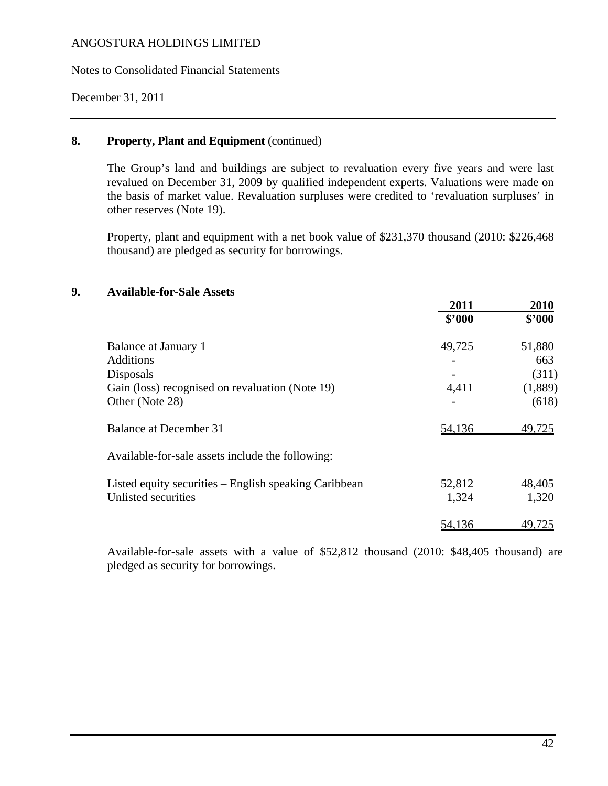Notes to Consolidated Financial Statements

December 31, 2011

#### **8.** Property, Plant and Equipment (continued)

The Group's land and buildings are subject to revaluation every five years and were last revalued on December 31, 2009 by qualified independent experts. Valuations were made on the basis of market value. Revaluation surpluses were credited to 'revaluation surpluses' in other reserves (Note 19).

Property, plant and equipment with a net book value of \$231,370 thousand (2010: \$226,468 thousand) are pledged as security for borrowings.

#### **9. Available-for-Sale Assets**

|                                                       | 2011   | 2010    |
|-------------------------------------------------------|--------|---------|
|                                                       | \$2000 | \$2000  |
| Balance at January 1                                  | 49,725 | 51,880  |
| Additions                                             |        | 663     |
| Disposals                                             |        | (311)   |
| Gain (loss) recognised on revaluation (Note 19)       | 4,411  | (1,889) |
| Other (Note 28)                                       |        | (618)   |
| <b>Balance at December 31</b>                         | 54,136 | 49,725  |
| Available-for-sale assets include the following:      |        |         |
| Listed equity securities – English speaking Caribbean | 52,812 | 48,405  |
| Unlisted securities                                   | 1,324  | 1,320   |
|                                                       | 54,136 | 49,725  |

Available-for-sale assets with a value of \$52,812 thousand (2010: \$48,405 thousand) are pledged as security for borrowings.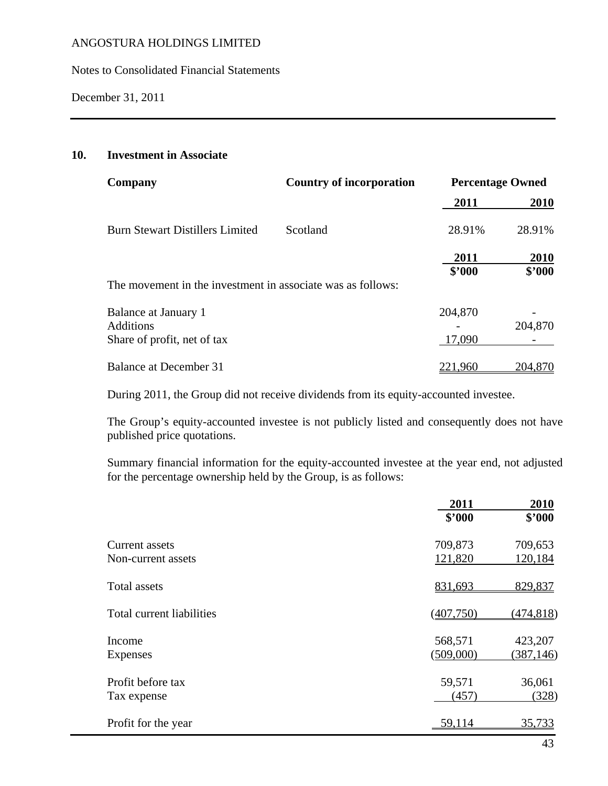Notes to Consolidated Financial Statements

December 31, 2011

## **10. Investment in Associate**

| Company                                                     | <b>Country of incorporation</b> |         | <b>Percentage Owned</b> |
|-------------------------------------------------------------|---------------------------------|---------|-------------------------|
|                                                             |                                 | 2011    | <b>2010</b>             |
| <b>Burn Stewart Distillers Limited</b>                      | Scotland                        | 28.91%  | 28.91%                  |
|                                                             |                                 | 2011    | 2010                    |
| The movement in the investment in associate was as follows: |                                 | \$2000  | \$'000                  |
|                                                             |                                 |         |                         |
| Balance at January 1                                        |                                 | 204,870 |                         |
| <b>Additions</b>                                            |                                 |         | 204,870                 |
| Share of profit, net of tax                                 |                                 | 17,090  |                         |
| Balance at December 31                                      |                                 | 1.960   | 204.870                 |

During 2011, the Group did not receive dividends from its equity-accounted investee.

The Group's equity-accounted investee is not publicly listed and consequently does not have published price quotations.

Summary financial information for the equity-accounted investee at the year end, not adjusted for the percentage ownership held by the Group, is as follows:

|                           | 2011      | 2010       |
|---------------------------|-----------|------------|
|                           | \$2000    | \$2000     |
| Current assets            | 709,873   | 709,653    |
| Non-current assets        | 121,820   | 120,184    |
| <b>Total assets</b>       | 831,693   | 829,837    |
| Total current liabilities | (407,750) | (474, 818) |
| Income                    | 568,571   | 423,207    |
| Expenses                  | (509,000) | (387, 146) |
| Profit before tax         | 59,571    | 36,061     |
| Tax expense               | (457)     | (328)      |
| Profit for the year       | 59,114    | 35,733     |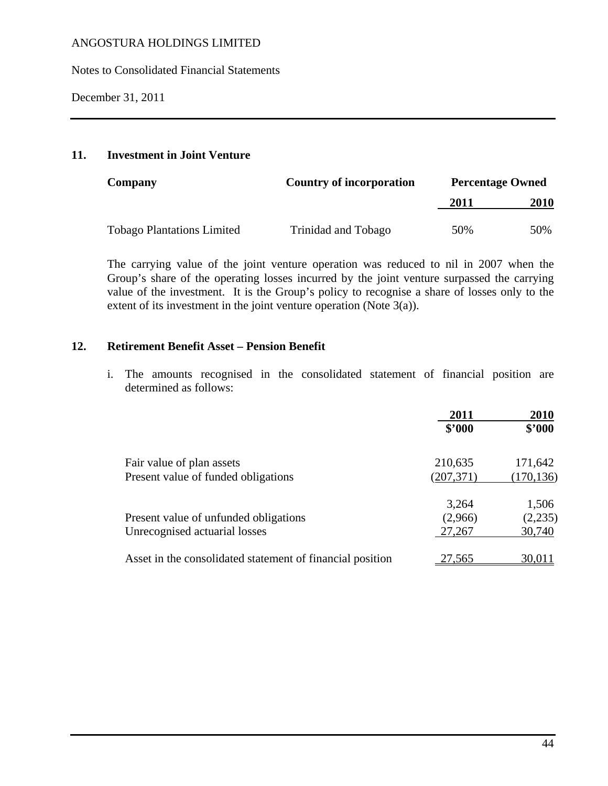Notes to Consolidated Financial Statements

December 31, 2011

## **11. Investment in Joint Venture**

| Company                           | <b>Country of incorporation</b> | <b>Percentage Owned</b> |      |
|-----------------------------------|---------------------------------|-------------------------|------|
|                                   |                                 | 2011                    | 2010 |
| <b>Tobago Plantations Limited</b> | Trinidad and Tobago             | 50%                     | 50%  |

 The carrying value of the joint venture operation was reduced to nil in 2007 when the Group's share of the operating losses incurred by the joint venture surpassed the carrying value of the investment. It is the Group's policy to recognise a share of losses only to the extent of its investment in the joint venture operation (Note 3(a)).

#### **12. Retirement Benefit Asset – Pension Benefit**

i. The amounts recognised in the consolidated statement of financial position are determined as follows:

|                                                           | 2011       | 2010       |
|-----------------------------------------------------------|------------|------------|
|                                                           | \$2000     | \$2000     |
| Fair value of plan assets                                 | 210,635    | 171,642    |
| Present value of funded obligations                       | (207, 371) | (170, 136) |
|                                                           | 3,264      | 1,506      |
| Present value of unfunded obligations                     | (2,966)    | (2,235)    |
| Unrecognised actuarial losses                             | 27,267     | 30,740     |
| Asset in the consolidated statement of financial position | 27,565     | 30.01      |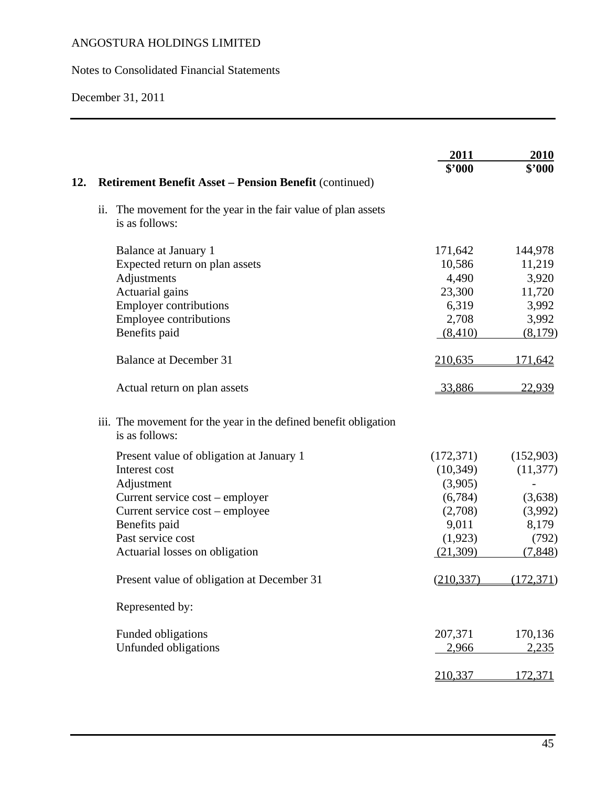# Notes to Consolidated Financial Statements

December 31, 2011

|     |                                                                                     | 2011       | 2010       |
|-----|-------------------------------------------------------------------------------------|------------|------------|
|     |                                                                                     | \$'000     | \$2000     |
| 12. | <b>Retirement Benefit Asset – Pension Benefit (continued)</b>                       |            |            |
|     | The movement for the year in the fair value of plan assets<br>ii.<br>is as follows: |            |            |
|     | <b>Balance at January 1</b>                                                         | 171,642    | 144,978    |
|     | Expected return on plan assets                                                      | 10,586     | 11,219     |
|     | Adjustments                                                                         | 4,490      | 3,920      |
|     | Actuarial gains                                                                     | 23,300     | 11,720     |
|     | <b>Employer contributions</b>                                                       | 6,319      | 3,992      |
|     | <b>Employee contributions</b>                                                       | 2,708      | 3,992      |
|     | Benefits paid                                                                       | (8, 410)   | (8,179)    |
|     | <b>Balance at December 31</b>                                                       | 210,635    | 171,642    |
|     | Actual return on plan assets                                                        | 33,886     | 22,939     |
|     | iii. The movement for the year in the defined benefit obligation<br>is as follows:  |            |            |
|     | Present value of obligation at January 1                                            | (172, 371) | (152,903)  |
|     | Interest cost                                                                       | (10, 349)  | (11, 377)  |
|     | Adjustment                                                                          | (3,905)    |            |
|     | Current service cost – employer                                                     | (6,784)    | (3,638)    |
|     | Current service cost – employee                                                     | (2,708)    | (3,992)    |
|     | Benefits paid                                                                       | 9,011      | 8,179      |
|     | Past service cost                                                                   | (1,923)    | (792)      |
|     | Actuarial losses on obligation                                                      | (21,309)   | (7,848)    |
|     | Present value of obligation at December 31                                          | (210, 337) | (172, 371) |
|     | Represented by:                                                                     |            |            |
|     | Funded obligations                                                                  | 207,371    | 170,136    |
|     | Unfunded obligations                                                                | 2,966      | 2,235      |
|     |                                                                                     | 210,337    | 172,371    |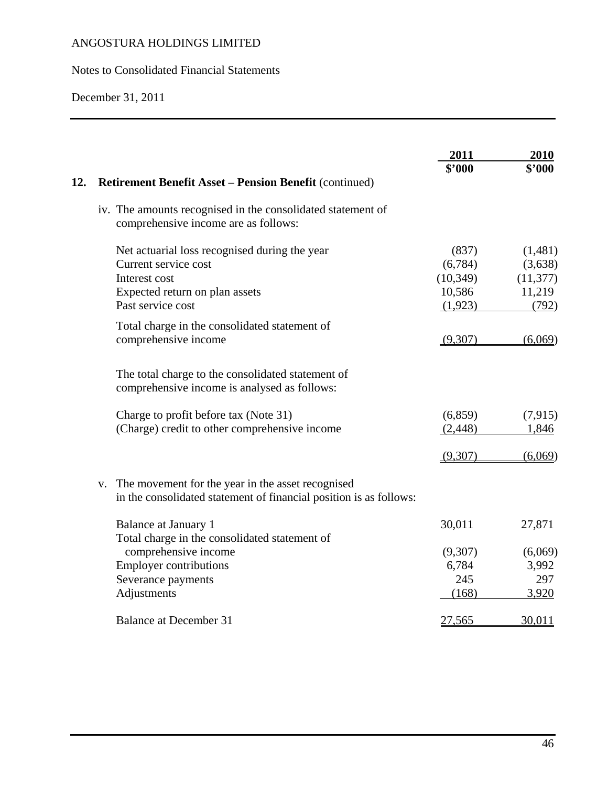# Notes to Consolidated Financial Statements

December 31, 2011

|     |                                                                                                                               | 2011      | 2010      |
|-----|-------------------------------------------------------------------------------------------------------------------------------|-----------|-----------|
|     |                                                                                                                               | \$'000    | \$'000    |
| 12. | <b>Retirement Benefit Asset - Pension Benefit (continued)</b>                                                                 |           |           |
|     | iv. The amounts recognised in the consolidated statement of<br>comprehensive income are as follows:                           |           |           |
|     | Net actuarial loss recognised during the year                                                                                 | (837)     | (1,481)   |
|     | Current service cost                                                                                                          | (6,784)   | (3,638)   |
|     | Interest cost                                                                                                                 | (10, 349) | (11, 377) |
|     | Expected return on plan assets                                                                                                | 10,586    | 11,219    |
|     | Past service cost                                                                                                             | (1,923)   | (792)     |
|     | Total charge in the consolidated statement of                                                                                 |           |           |
|     | comprehensive income                                                                                                          | (9,307)   | (6,069)   |
|     | The total charge to the consolidated statement of<br>comprehensive income is analysed as follows:                             |           |           |
|     | Charge to profit before tax (Note 31)                                                                                         | (6,859)   | (7,915)   |
|     | (Charge) credit to other comprehensive income                                                                                 | (2, 448)  | 1,846     |
|     |                                                                                                                               | (9,307)   | (6,069)   |
|     | The movement for the year in the asset recognised<br>V.<br>in the consolidated statement of financial position is as follows: |           |           |
|     | Balance at January 1                                                                                                          | 30,011    | 27,871    |
|     | Total charge in the consolidated statement of                                                                                 |           |           |
|     | comprehensive income                                                                                                          | (9,307)   | (6,069)   |
|     | <b>Employer contributions</b>                                                                                                 | 6,784     | 3,992     |
|     | Severance payments                                                                                                            | 245       | 297       |
|     | Adjustments                                                                                                                   | (168)     | 3,920     |
|     | <b>Balance at December 31</b>                                                                                                 | 27,565    | 30,011    |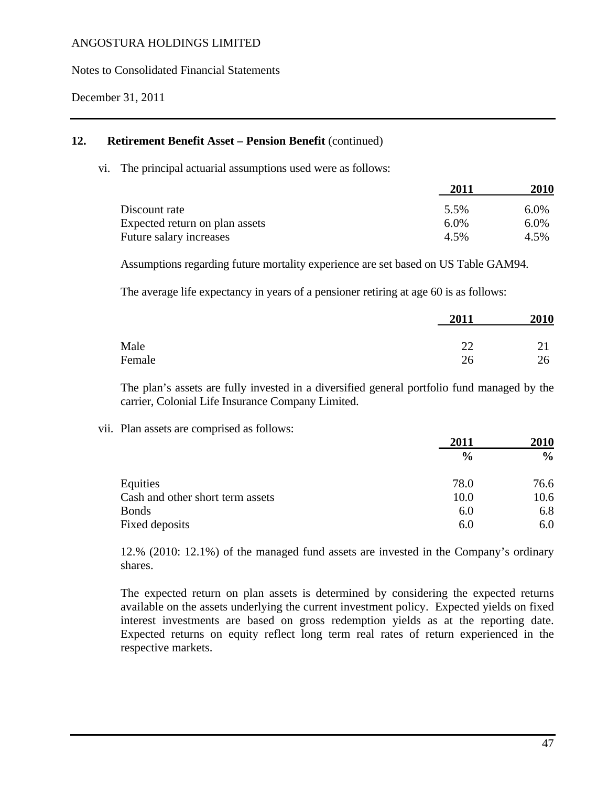Notes to Consolidated Financial Statements

December 31, 2011

#### **12. Retirement Benefit Asset – Pension Benefit** (continued)

vi. The principal actuarial assumptions used were as follows:

|                                | 2011    | <b>2010</b> |
|--------------------------------|---------|-------------|
| Discount rate                  | 5.5%    | 6.0%        |
| Expected return on plan assets | $6.0\%$ | 6.0%        |
| Future salary increases        | 4.5%    | 4.5%        |

Assumptions regarding future mortality experience are set based on US Table GAM94.

The average life expectancy in years of a pensioner retiring at age 60 is as follows:

|        | 2011    | 2010     |
|--------|---------|----------|
| Male   | ി<br>∠∠ | $\sim$ 1 |
| Female | 26      | 26       |

 The plan's assets are fully invested in a diversified general portfolio fund managed by the carrier, Colonial Life Insurance Company Limited.

vii. Plan assets are comprised as follows:

|                                  | 2011          | 2010          |
|----------------------------------|---------------|---------------|
|                                  | $\frac{6}{9}$ | $\frac{6}{6}$ |
| Equities                         | 78.0          | 76.6          |
| Cash and other short term assets | 10.0          | 10.6          |
| <b>Bonds</b>                     | 6.0           | 6.8           |
| Fixed deposits                   | 6.0           | 6.0           |

12.% (2010: 12.1%) of the managed fund assets are invested in the Company's ordinary shares.

The expected return on plan assets is determined by considering the expected returns available on the assets underlying the current investment policy. Expected yields on fixed interest investments are based on gross redemption yields as at the reporting date. Expected returns on equity reflect long term real rates of return experienced in the respective markets.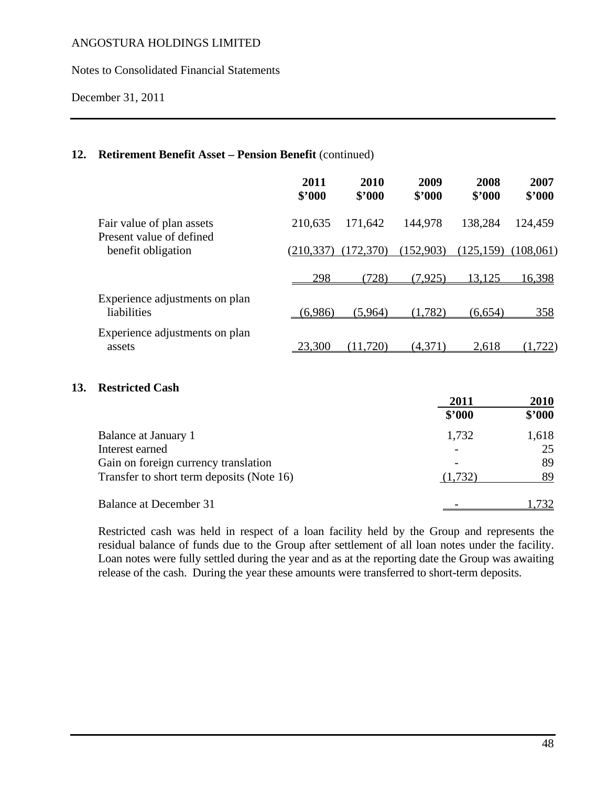Notes to Consolidated Financial Statements

December 31, 2011

## **12. Retirement Benefit Asset – Pension Benefit** (continued)

|                                                       | 2011<br>\$2000 | 2010<br>\$2000 | 2009<br>\$3000            | 2008<br>\$2000 | 2007<br>\$2000 |
|-------------------------------------------------------|----------------|----------------|---------------------------|----------------|----------------|
| Fair value of plan assets<br>Present value of defined | 210,635        | 171,642        | 144,978                   | 138,284        | 124,459        |
| benefit obligation                                    | (210,337       | (172, 370)     | (152,903)                 | (125, 159)     | (108,061)      |
|                                                       | 298            | (728)          | (7.925)                   | 13.125         | <u>16,398</u>  |
| Experience adjustments on plan<br>liabilities         | (6.986)        | (5.964)        | (782)<br>$\left(1\right)$ | (6,654)        | <u>358</u>     |
| Experience adjustments on plan<br>assets              | 23,300         | .720)          | (4.371)                   | 2,618          | (722)<br>(1    |

### **13. Restricted Cash**

|                                           | 2011                     | 2010   |  |
|-------------------------------------------|--------------------------|--------|--|
|                                           | \$2000                   | \$2000 |  |
| Balance at January 1                      | 1,732                    | 1,618  |  |
| Interest earned                           | $\overline{\phantom{0}}$ | 25     |  |
| Gain on foreign currency translation      |                          | 89     |  |
| Transfer to short term deposits (Note 16) | (1,732)                  | 89     |  |
| Balance at December 31                    |                          | 732    |  |

 Restricted cash was held in respect of a loan facility held by the Group and represents the residual balance of funds due to the Group after settlement of all loan notes under the facility. Loan notes were fully settled during the year and as at the reporting date the Group was awaiting release of the cash. During the year these amounts were transferred to short-term deposits.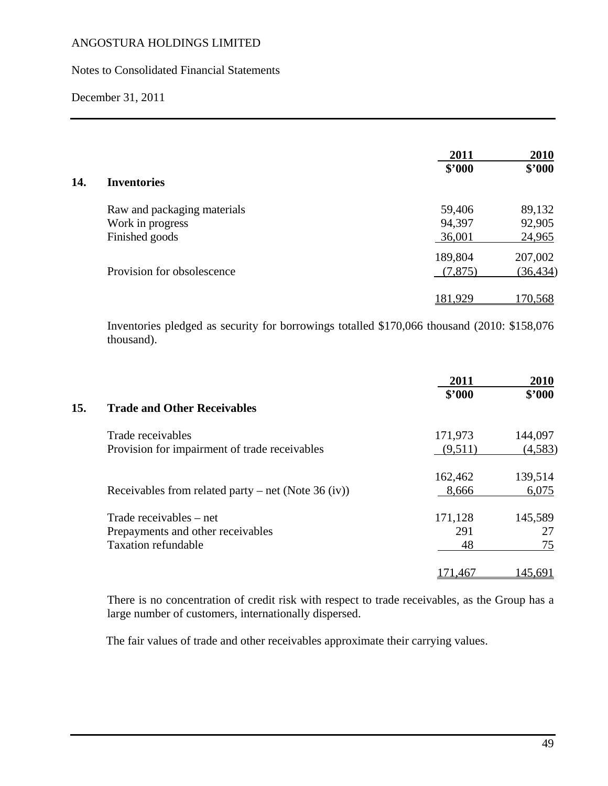#### Notes to Consolidated Financial Statements

December 31, 2011

|     |                             | 2011     | 2010      |
|-----|-----------------------------|----------|-----------|
|     |                             | \$2000   | \$2000    |
| 14. | <b>Inventories</b>          |          |           |
|     | Raw and packaging materials | 59,406   | 89,132    |
|     | Work in progress            | 94,397   | 92,905    |
|     | Finished goods              | 36,001   | 24,965    |
|     |                             | 189,804  | 207,002   |
|     | Provision for obsolescence  | (7, 875) | (36, 434) |
|     |                             | 181.929  | 170,568   |

Inventories pledged as security for borrowings totalled \$170,066 thousand (2010: \$158,076 thousand).

|     |                                                     | 2011    | 2010           |
|-----|-----------------------------------------------------|---------|----------------|
|     |                                                     | \$2000  | \$2000         |
| 15. | <b>Trade and Other Receivables</b>                  |         |                |
|     | Trade receivables                                   | 171,973 | 144,097        |
|     | Provision for impairment of trade receivables       | (9,511) | (4,583)        |
|     |                                                     | 162,462 | 139,514        |
|     | Receivables from related party – net (Note 36 (iv)) | 8,666   | 6,075          |
|     | Trade receivables – net                             | 171,128 | 145,589        |
|     | Prepayments and other receivables                   | 291     | 27             |
|     | <b>Taxation refundable</b>                          | 48      | 75             |
|     |                                                     | 1.467   | <u>145,691</u> |

There is no concentration of credit risk with respect to trade receivables, as the Group has a large number of customers, internationally dispersed.

The fair values of trade and other receivables approximate their carrying values.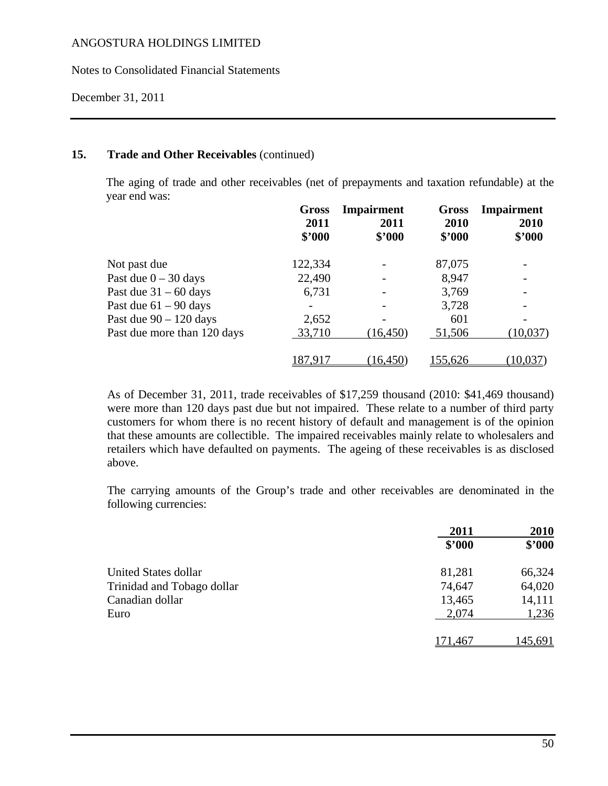Notes to Consolidated Financial Statements

December 31, 2011

## **15. Trade and Other Receivables** (continued)

The aging of trade and other receivables (net of prepayments and taxation refundable) at the year end was:

|                             | Gross<br>2011 | Impairment<br>2011 | Gross<br>2010 | <b>Impairment</b><br>2010 |
|-----------------------------|---------------|--------------------|---------------|---------------------------|
|                             | \$2000        | \$2000             | \$'000        | \$'000                    |
| Not past due                | 122,334       |                    | 87,075        |                           |
| Past due $0 - 30$ days      | 22,490        |                    | 8,947         |                           |
| Past due $31 - 60$ days     | 6,731         |                    | 3,769         |                           |
| Past due $61 - 90$ days     |               |                    | 3,728         |                           |
| Past due $90 - 120$ days    | 2,652         |                    | 601           |                           |
| Past due more than 120 days | 33,710        | (16, 450)          | 51,506        | (10,037)                  |
|                             | 187,917       | (16, 450)          | 155,626       | 10,037                    |

As of December 31, 2011, trade receivables of \$17,259 thousand (2010: \$41,469 thousand) were more than 120 days past due but not impaired. These relate to a number of third party customers for whom there is no recent history of default and management is of the opinion that these amounts are collectible. The impaired receivables mainly relate to wholesalers and retailers which have defaulted on payments. The ageing of these receivables is as disclosed above.

 The carrying amounts of the Group's trade and other receivables are denominated in the following currencies:

|                            | 2011    | 2010    |
|----------------------------|---------|---------|
|                            | \$2000  | \$2000  |
| United States dollar       | 81,281  | 66,324  |
| Trinidad and Tobago dollar | 74,647  | 64,020  |
| Canadian dollar            | 13,465  | 14,111  |
| Euro                       | 2,074   | 1,236   |
|                            | 171,467 | 145,691 |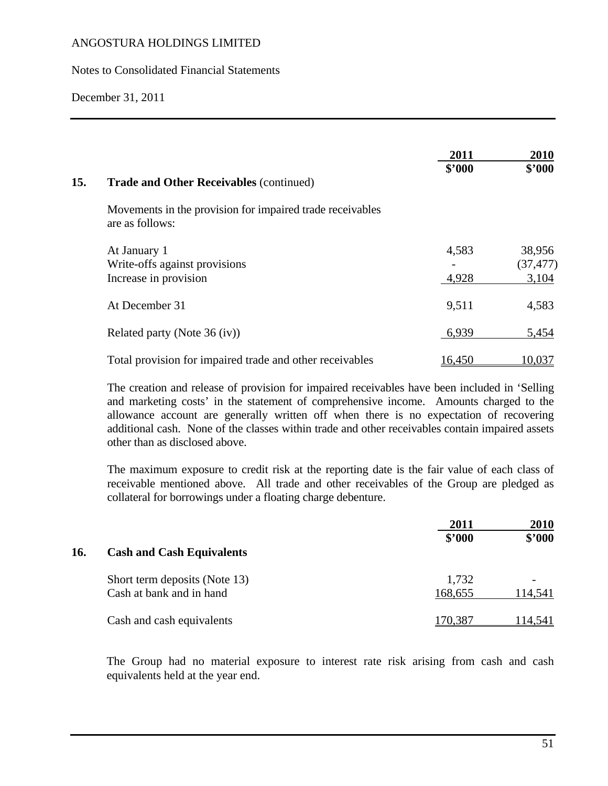#### Notes to Consolidated Financial Statements

December 31, 2011

|     |                                                                              | 2011   | 2010                |
|-----|------------------------------------------------------------------------------|--------|---------------------|
| 15. | <b>Trade and Other Receivables (continued)</b>                               | \$2000 | \$2000              |
|     | Movements in the provision for impaired trade receivables<br>are as follows: |        |                     |
|     | At January 1<br>Write-offs against provisions                                | 4,583  | 38,956<br>(37, 477) |
|     | Increase in provision                                                        | 4,928  | 3,104               |
|     | At December 31                                                               | 9,511  | 4,583               |
|     | Related party (Note 36 (iv))                                                 | 6,939  | 5,454               |
|     | Total provision for impaired trade and other receivables                     | 16,450 | 10,037              |

The creation and release of provision for impaired receivables have been included in 'Selling and marketing costs' in the statement of comprehensive income. Amounts charged to the allowance account are generally written off when there is no expectation of recovering additional cash. None of the classes within trade and other receivables contain impaired assets other than as disclosed above.

The maximum exposure to credit risk at the reporting date is the fair value of each class of receivable mentioned above. All trade and other receivables of the Group are pledged as collateral for borrowings under a floating charge debenture.

|     |                                  | <b>2011</b> | <b>2010</b> |  |
|-----|----------------------------------|-------------|-------------|--|
|     |                                  | \$2000      | \$2000      |  |
| 16. | <b>Cash and Cash Equivalents</b> |             |             |  |
|     | Short term deposits (Note 13)    | 1,732       |             |  |
|     | Cash at bank and in hand         | 168,655     | 114,541     |  |
|     | Cash and cash equivalents        | 70.387      | 114.541     |  |

The Group had no material exposure to interest rate risk arising from cash and cash equivalents held at the year end.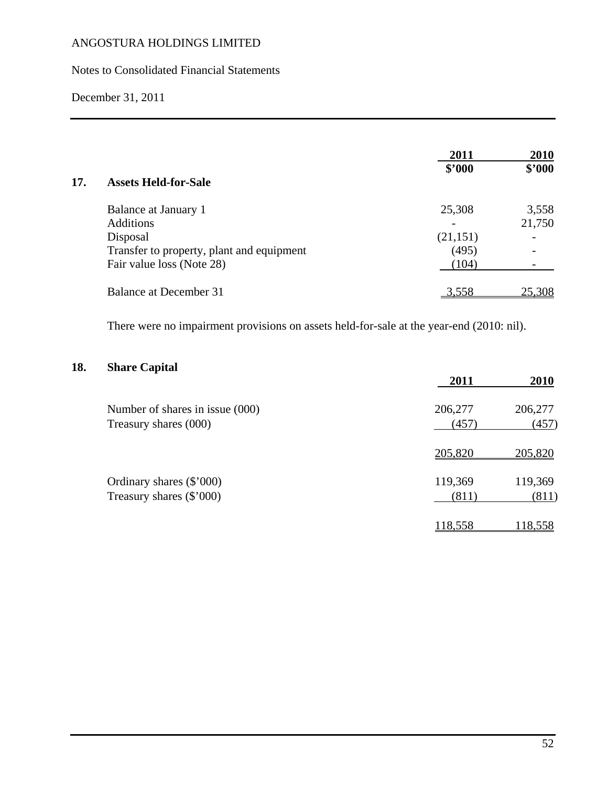## Notes to Consolidated Financial Statements

December 31, 2011

|     |                                           | 2011      | 2010   |
|-----|-------------------------------------------|-----------|--------|
| 17. | <b>Assets Held-for-Sale</b>               | \$2000    | \$2000 |
|     |                                           |           |        |
|     | Balance at January 1                      | 25,308    | 3,558  |
|     | <b>Additions</b>                          |           | 21,750 |
|     | Disposal                                  | (21, 151) |        |
|     | Transfer to property, plant and equipment | (495)     |        |
|     | Fair value loss (Note 28)                 | (104)     |        |
|     | Balance at December 31                    | 3,558     | 25,308 |

There were no impairment provisions on assets held-for-sale at the year-end (2010: nil).

# **18. Share Capital**

| л.                              | 2011           | 2010    |
|---------------------------------|----------------|---------|
| Number of shares in issue (000) | 206,277        | 206,277 |
| Treasury shares (000)           | (457)          | (457)   |
|                                 | 205,820        | 205,820 |
| Ordinary shares (\$'000)        | 119,369        | 119,369 |
| Treasury shares (\$'000)        | (811)          | (811)   |
|                                 | <u>118,558</u> | 118,558 |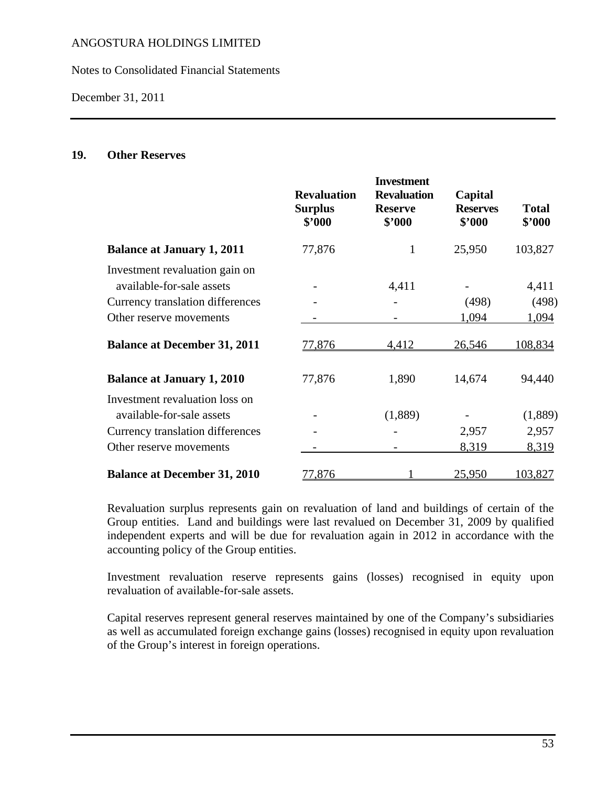Notes to Consolidated Financial Statements

December 31, 2011

## **19. Other Reserves**

|                                                                                                 | <b>Revaluation</b><br><b>Surplus</b><br>\$'000 | <b>Investment</b><br><b>Revaluation</b><br><b>Reserve</b><br>\$'000 | Capital<br><b>Reserves</b><br>\$'000 | <b>Total</b><br>\$'000 |
|-------------------------------------------------------------------------------------------------|------------------------------------------------|---------------------------------------------------------------------|--------------------------------------|------------------------|
| <b>Balance at January 1, 2011</b>                                                               | 77,876                                         | 1                                                                   | 25,950                               | 103,827                |
| Investment revaluation gain on<br>available-for-sale assets<br>Currency translation differences |                                                | 4,411                                                               | (498)                                | 4,411<br>(498)         |
| Other reserve movements                                                                         |                                                |                                                                     | 1,094                                | 1,094                  |
| <b>Balance at December 31, 2011</b>                                                             | 77,876                                         | 4,412                                                               | 26,546                               | 108,834                |
| <b>Balance at January 1, 2010</b>                                                               | 77,876                                         | 1,890                                                               | 14,674                               | 94,440                 |
| Investment revaluation loss on<br>available-for-sale assets                                     |                                                | (1,889)                                                             |                                      | (1,889)                |
| Currency translation differences                                                                |                                                |                                                                     | 2,957                                | 2,957                  |
| Other reserve movements                                                                         |                                                |                                                                     | 8,319                                | 8,319                  |
| <b>Balance at December 31, 2010</b>                                                             | 77,876                                         |                                                                     | 25,950                               | 103,827                |

Revaluation surplus represents gain on revaluation of land and buildings of certain of the Group entities. Land and buildings were last revalued on December 31, 2009 by qualified independent experts and will be due for revaluation again in 2012 in accordance with the accounting policy of the Group entities.

Investment revaluation reserve represents gains (losses) recognised in equity upon revaluation of available-for-sale assets.

Capital reserves represent general reserves maintained by one of the Company's subsidiaries as well as accumulated foreign exchange gains (losses) recognised in equity upon revaluation of the Group's interest in foreign operations.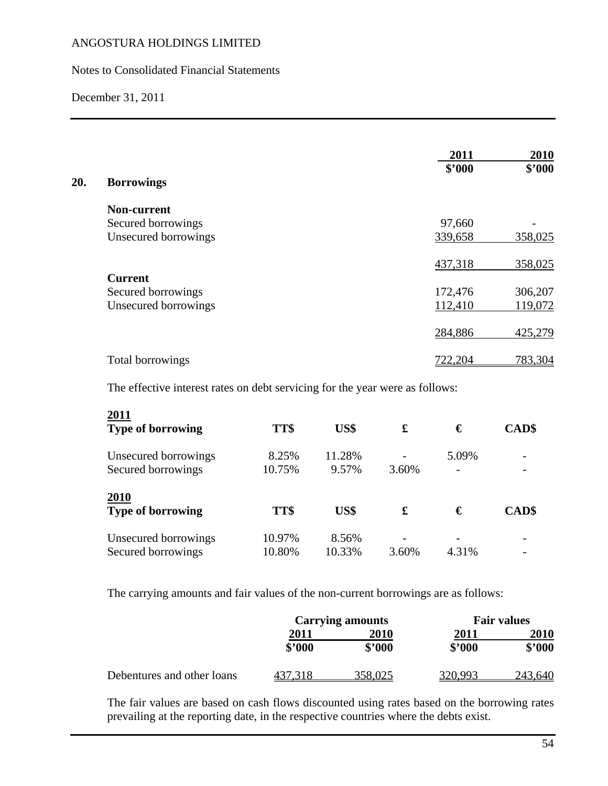## Notes to Consolidated Financial Statements

December 31, 2011

|     |                      | 2011    | 2010    |
|-----|----------------------|---------|---------|
| 20. | <b>Borrowings</b>    | \$2000  | \$'000  |
|     | <b>Non-current</b>   |         |         |
|     | Secured borrowings   | 97,660  |         |
|     | Unsecured borrowings | 339,658 | 358,025 |
|     |                      | 437,318 | 358,025 |
|     | <b>Current</b>       |         |         |
|     | Secured borrowings   | 172,476 | 306,207 |
|     | Unsecured borrowings | 112,410 | 119,072 |
|     |                      | 284,886 | 425,279 |
|     | Total borrowings     | 722,204 | 783,304 |

The effective interest rates on debt servicing for the year were as follows:

| 2011<br><b>Type of borrowing</b> | TT\$   | US\$   | £     | €     | CAD\$ |
|----------------------------------|--------|--------|-------|-------|-------|
| Unsecured borrowings             | 8.25%  | 11.28% |       | 5.09% |       |
| Secured borrowings               | 10.75% | 9.57%  | 3.60% |       |       |
| <b>2010</b>                      |        |        |       |       |       |
| <b>Type of borrowing</b>         | TT\$   | US\$   | £     | €     | CAD\$ |
| Unsecured borrowings             | 10.97% | 8.56%  |       |       |       |
| Secured borrowings               | 10.80% | 10.33% | 3.60% | 4.31% |       |

The carrying amounts and fair values of the non-current borrowings are as follows:

|                            |        | <b>Carrying amounts</b> |                | <b>Fair values</b> |
|----------------------------|--------|-------------------------|----------------|--------------------|
|                            | 2011   | 2010                    | 2011           | 2010               |
|                            | \$2000 | \$2000                  | \$2000         | \$2000             |
| Debentures and other loans |        | 358,025                 | <u>320,993</u> | 243,640            |

The fair values are based on cash flows discounted using rates based on the borrowing rates prevailing at the reporting date, in the respective countries where the debts exist.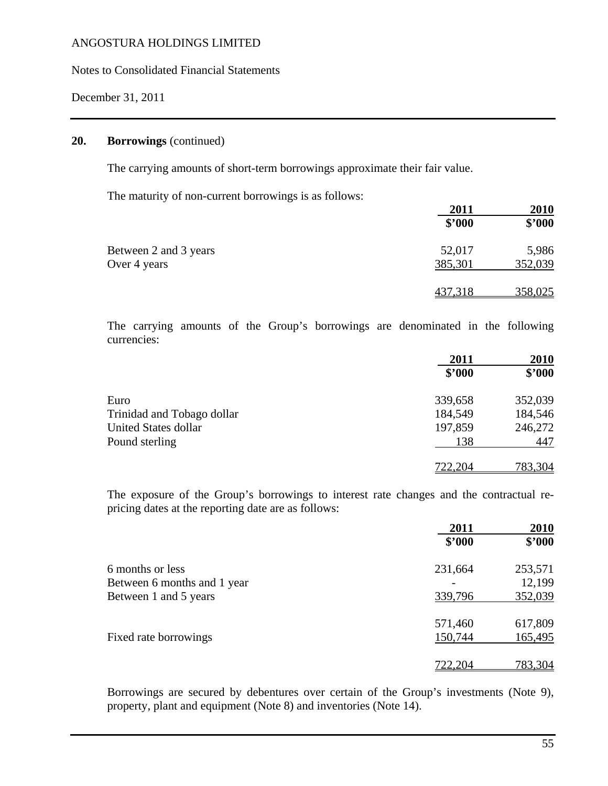Notes to Consolidated Financial Statements

December 31, 2011

#### **20. Borrowings** (continued)

The carrying amounts of short-term borrowings approximate their fair value.

The maturity of non-current borrowings is as follows:

|                       | 2011    | 2010    |
|-----------------------|---------|---------|
|                       | \$2000  | \$2000  |
| Between 2 and 3 years | 52,017  | 5,986   |
| Over 4 years          | 385,301 | 352,039 |
|                       | 437,318 | 358,025 |

The carrying amounts of the Group's borrowings are denominated in the following currencies:

|                            | 2011    | 2010    |
|----------------------------|---------|---------|
|                            | \$'000  | \$2000  |
| Euro                       | 339,658 | 352,039 |
| Trinidad and Tobago dollar | 184,549 | 184,546 |
| United States dollar       | 197,859 | 246,272 |
| Pound sterling             | 138     | 447     |
|                            | 722,204 | 783,304 |

The exposure of the Group's borrowings to interest rate changes and the contractual repricing dates at the reporting date are as follows:

|                             | 2011    | 2010    |
|-----------------------------|---------|---------|
|                             | \$2000  | \$'000  |
| 6 months or less            | 231,664 | 253,571 |
| Between 6 months and 1 year |         | 12,199  |
| Between 1 and 5 years       | 339,796 | 352,039 |
|                             | 571,460 | 617,809 |
| Fixed rate borrowings       | 150,744 | 165,495 |
|                             | 722.204 | 783,304 |

Borrowings are secured by debentures over certain of the Group's investments (Note 9), property, plant and equipment (Note 8) and inventories (Note 14).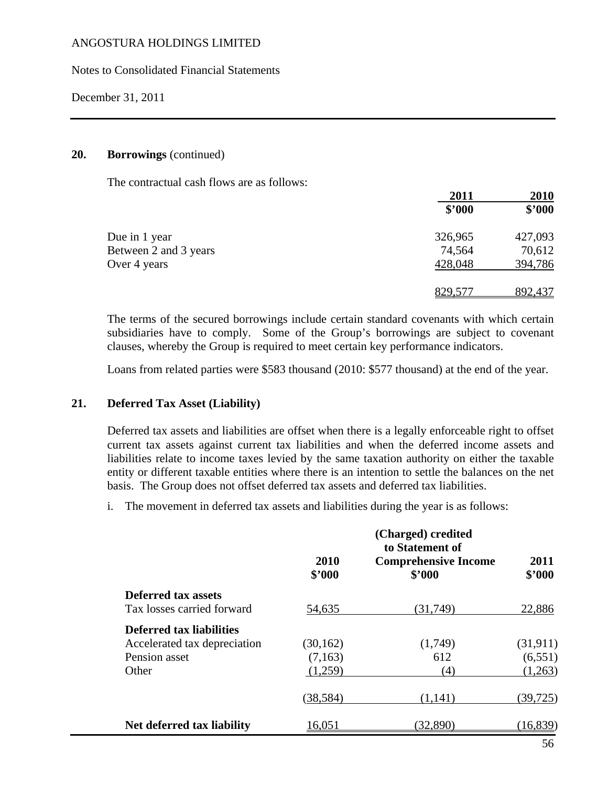Notes to Consolidated Financial Statements

December 31, 2011

#### **20. Borrowings** (continued)

The contractual cash flows are as follows:

|                       | 2011    | 2010    |
|-----------------------|---------|---------|
|                       | \$2000  | \$2000  |
| Due in 1 year         | 326,965 | 427,093 |
| Between 2 and 3 years | 74,564  | 70,612  |
| Over 4 years          | 428,048 | 394,786 |
|                       | 829,577 | 892,437 |

The terms of the secured borrowings include certain standard covenants with which certain subsidiaries have to comply. Some of the Group's borrowings are subject to covenant clauses, whereby the Group is required to meet certain key performance indicators.

Loans from related parties were \$583 thousand (2010: \$577 thousand) at the end of the year.

#### **21. Deferred Tax Asset (Liability)**

Deferred tax assets and liabilities are offset when there is a legally enforceable right to offset current tax assets against current tax liabilities and when the deferred income assets and liabilities relate to income taxes levied by the same taxation authority on either the taxable entity or different taxable entities where there is an intention to settle the balances on the net basis. The Group does not offset deferred tax assets and deferred tax liabilities.

i. The movement in deferred tax assets and liabilities during the year is as follows:

|                              | 2010<br>\$2000 | (Charged) credited<br>to Statement of<br><b>Comprehensive Income</b><br>\$2000 | 2011<br>\$2000 |
|------------------------------|----------------|--------------------------------------------------------------------------------|----------------|
| <b>Deferred tax assets</b>   |                |                                                                                |                |
| Tax losses carried forward   | 54,635         | (31, 749)                                                                      | 22,886         |
| Deferred tax liabilities     |                |                                                                                |                |
| Accelerated tax depreciation | (30, 162)      | (1,749)                                                                        | (31,911)       |
| Pension asset                | (7,163)        | 612                                                                            | (6, 551)       |
| Other                        | (1,259)        | (4)                                                                            | (1,263)        |
|                              | (38, 584)      | (1,141)                                                                        | (39, 725)      |
| Net deferred tax liability   | 16,051         | (32,890)                                                                       | (16, 839)      |
|                              |                |                                                                                |                |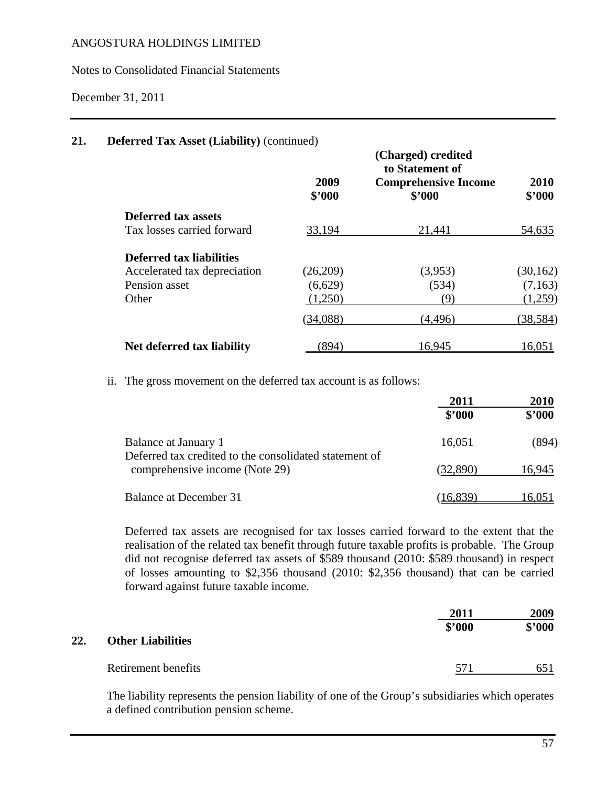Notes to Consolidated Financial Statements

December 31, 2011

### **21. Deferred Tax Asset (Liability)** (continued)

|                              | 2009<br>\$2000 | (Charged) credited<br>to Statement of<br><b>Comprehensive Income</b><br>\$2000 | 2010<br>\$2000 |
|------------------------------|----------------|--------------------------------------------------------------------------------|----------------|
| <b>Deferred tax assets</b>   |                |                                                                                |                |
| Tax losses carried forward   | 33,194         | 21,441                                                                         | 54,635         |
| Deferred tax liabilities     |                |                                                                                |                |
| Accelerated tax depreciation | (26,209)       | (3,953)                                                                        | (30, 162)      |
| Pension asset                | (6,629)        | (534)                                                                          | (7,163)        |
| Other                        | (1,250)        | (9)                                                                            | (1,259)        |
|                              | (34,088)       | (4, 496)                                                                       | (38, 584)      |
| Net deferred tax liability   | (894)          | 16,945                                                                         | <u>16,051</u>  |

ii. The gross movement on the deferred tax account is as follows:

|                                                                                | 2011     | 2010   |
|--------------------------------------------------------------------------------|----------|--------|
|                                                                                | \$2000   | \$2000 |
| Balance at January 1<br>Deferred tax credited to the consolidated statement of | 16,051   | (894)  |
| comprehensive income (Note 29)                                                 | (32,890) | 16,945 |
| Balance at December 31                                                         |          |        |

Deferred tax assets are recognised for tax losses carried forward to the extent that the realisation of the related tax benefit through future taxable profits is probable. The Group did not recognise deferred tax assets of \$589 thousand (2010: \$589 thousand) in respect of losses amounting to \$2,356 thousand (2010: \$2,356 thousand) that can be carried forward against future taxable income.

|     |                          | 2011   | 2009   |
|-----|--------------------------|--------|--------|
|     |                          | \$'000 | \$2000 |
| 22. | <b>Other Liabilities</b> |        |        |
|     | Retirement benefits      | 57     | 651    |

The liability represents the pension liability of one of the Group's subsidiaries which operates a defined contribution pension scheme.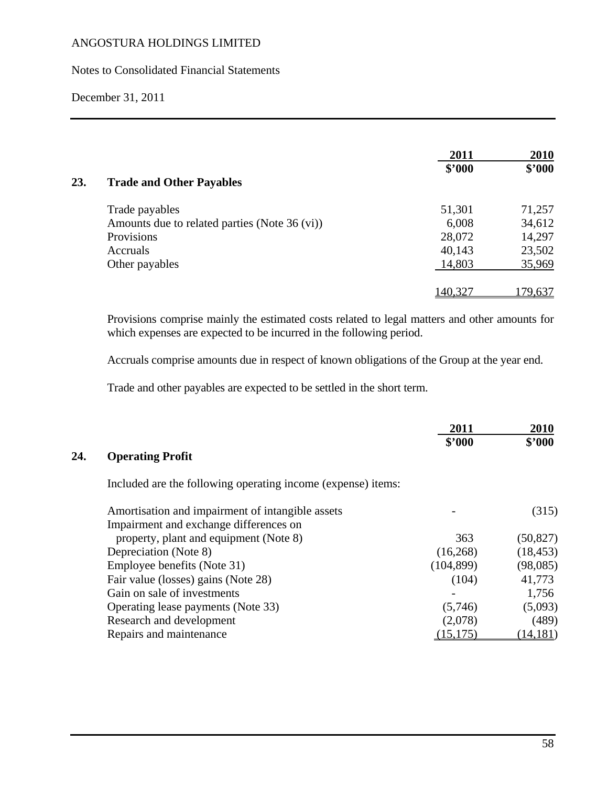Notes to Consolidated Financial Statements

December 31, 2011

|     |                                               | 2011    | 2010    |
|-----|-----------------------------------------------|---------|---------|
|     |                                               | \$3000  | \$2000  |
| 23. | <b>Trade and Other Payables</b>               |         |         |
|     | Trade payables                                | 51,301  | 71,257  |
|     | Amounts due to related parties (Note 36 (vi)) | 6,008   | 34,612  |
|     | Provisions                                    | 28,072  | 14,297  |
|     | Accruals                                      | 40,143  | 23,502  |
|     | Other payables                                | 14,803  | 35,969  |
|     |                                               | 140,327 | 179,637 |

Provisions comprise mainly the estimated costs related to legal matters and other amounts for which expenses are expected to be incurred in the following period.

Accruals comprise amounts due in respect of known obligations of the Group at the year end.

Trade and other payables are expected to be settled in the short term.

|                                                              | 2011       | 2010      |
|--------------------------------------------------------------|------------|-----------|
|                                                              | \$2000     | \$2000    |
| 24.<br><b>Operating Profit</b>                               |            |           |
| Included are the following operating income (expense) items: |            |           |
| Amortisation and impairment of intangible assets             |            | (315)     |
| Impairment and exchange differences on                       |            |           |
| property, plant and equipment (Note 8)                       | 363        | (50, 827) |
| Depreciation (Note 8)                                        | (16,268)   | (18, 453) |
| Employee benefits (Note 31)                                  | (104, 899) | (98,085)  |
| Fair value (losses) gains (Note 28)                          | (104)      | 41,773    |
| Gain on sale of investments                                  |            | 1,756     |
| Operating lease payments (Note 33)                           | (5,746)    | (5,093)   |
| Research and development                                     | (2,078)    | (489)     |
| Repairs and maintenance                                      | 15,175     | (14, 181) |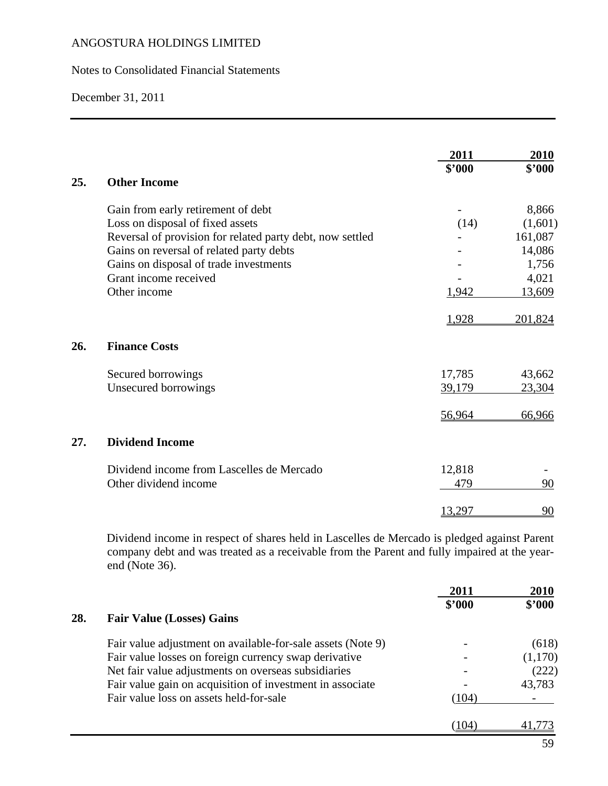## Notes to Consolidated Financial Statements

December 31, 2011

|     |                                                           | 2011   | 2010    |
|-----|-----------------------------------------------------------|--------|---------|
|     |                                                           | \$2000 | \$'000  |
| 25. | <b>Other Income</b>                                       |        |         |
|     | Gain from early retirement of debt                        |        | 8,866   |
|     | Loss on disposal of fixed assets                          | (14)   | (1,601) |
|     | Reversal of provision for related party debt, now settled |        | 161,087 |
|     | Gains on reversal of related party debts                  |        | 14,086  |
|     | Gains on disposal of trade investments                    |        | 1,756   |
|     | Grant income received                                     |        | 4,021   |
|     | Other income                                              | 1,942  | 13,609  |
|     |                                                           | 1,928  | 201,824 |
| 26. | <b>Finance Costs</b>                                      |        |         |
|     | Secured borrowings                                        | 17,785 | 43,662  |
|     | Unsecured borrowings                                      | 39,179 | 23,304  |
|     |                                                           | 56,964 | 66,966  |
| 27. | <b>Dividend Income</b>                                    |        |         |
|     | Dividend income from Lascelles de Mercado                 | 12,818 |         |
|     | Other dividend income                                     | 479    | 90      |
|     |                                                           | 13,297 | 90      |

Dividend income in respect of shares held in Lascelles de Mercado is pledged against Parent company debt and was treated as a receivable from the Parent and fully impaired at the yearend (Note 36).

|     |                                                             | 2011   | 2010    |
|-----|-------------------------------------------------------------|--------|---------|
|     |                                                             | \$2000 | \$2000  |
| 28. | <b>Fair Value (Losses) Gains</b>                            |        |         |
|     | Fair value adjustment on available-for-sale assets (Note 9) |        | (618)   |
|     | Fair value losses on foreign currency swap derivative       |        | (1,170) |
|     | Net fair value adjustments on overseas subsidiaries         |        | (222)   |
|     | Fair value gain on acquisition of investment in associate   |        | 43,783  |
|     | Fair value loss on assets held-for-sale                     | (104)  |         |
|     |                                                             | 104    |         |
|     |                                                             |        |         |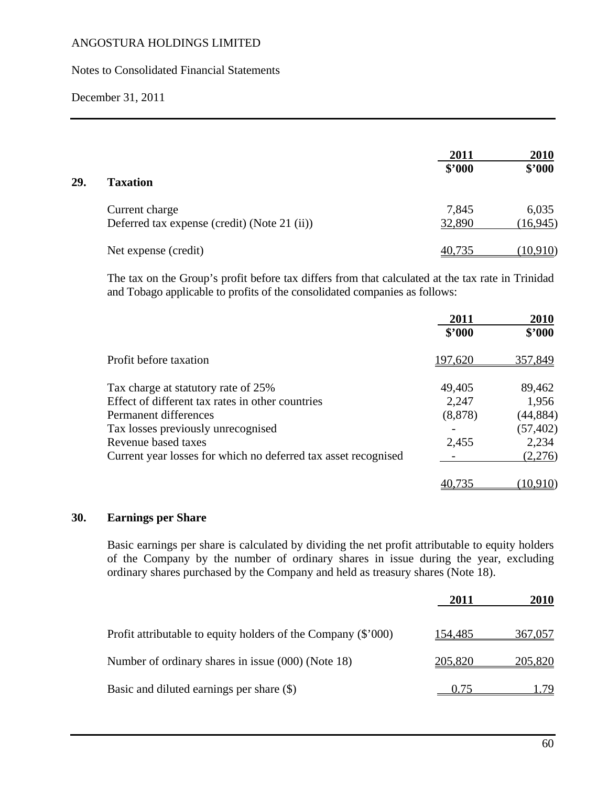#### Notes to Consolidated Financial Statements

December 31, 2011

|     |                                              | 2011   | 2010      |
|-----|----------------------------------------------|--------|-----------|
|     |                                              | \$2000 | \$2000    |
| 29. | <b>Taxation</b>                              |        |           |
|     | Current charge                               | 7,845  | 6,035     |
|     | Deferred tax expense (credit) (Note 21 (ii)) | 32,890 | (16, 945) |
|     | Net expense (credit)                         | 40,735 | (10,910)  |

The tax on the Group's profit before tax differs from that calculated at the tax rate in Trinidad and Tobago applicable to profits of the consolidated companies as follows:

|                                                                | 2011     | 2010      |
|----------------------------------------------------------------|----------|-----------|
|                                                                | \$2000   | \$2000    |
| Profit before taxation                                         | 197,620  | 357,849   |
| Tax charge at statutory rate of 25%                            | 49,405   | 89,462    |
| Effect of different tax rates in other countries               | 2,247    | 1,956     |
| Permanent differences                                          | (8, 878) | (44, 884) |
| Tax losses previously unrecognised                             |          | (57, 402) |
| Revenue based taxes                                            | 2,455    | 2,234     |
| Current year losses for which no deferred tax asset recognised |          | (2,276)   |
|                                                                |          | 10.910    |

## **30. Earnings per Share**

Basic earnings per share is calculated by dividing the net profit attributable to equity holders of the Company by the number of ordinary shares in issue during the year, excluding ordinary shares purchased by the Company and held as treasury shares (Note 18).

|                                                               | 2011    | 2010    |
|---------------------------------------------------------------|---------|---------|
| Profit attributable to equity holders of the Company (\$'000) | 154,485 | 367,057 |
| Number of ordinary shares in issue (000) (Note 18)            | 205,820 | 205,820 |
| Basic and diluted earnings per share (\$)                     |         |         |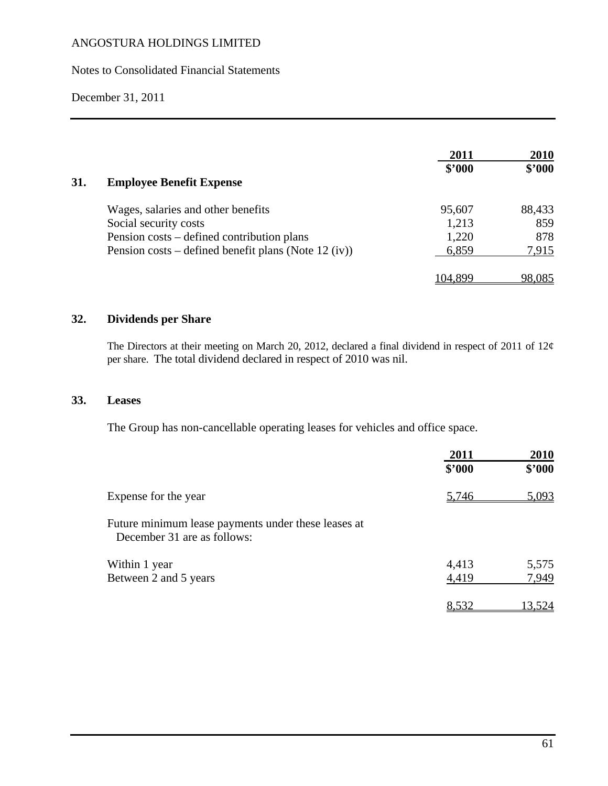#### Notes to Consolidated Financial Statements

December 31, 2011

|     |                                                      | 2011   | <b>2010</b> |
|-----|------------------------------------------------------|--------|-------------|
| 31. | <b>Employee Benefit Expense</b>                      | \$'000 | \$'000      |
|     |                                                      |        |             |
|     | Wages, salaries and other benefits                   | 95,607 | 88,433      |
|     | Social security costs                                | 1,213  | 859         |
|     | Pension costs – defined contribution plans           | 1,220  | 878         |
|     | Pension costs – defined benefit plans (Note 12 (iv)) | 6,859  | 7,915       |
|     |                                                      | 14.899 | 98,085      |

## **32. Dividends per Share**

The Directors at their meeting on March 20, 2012, declared a final dividend in respect of 2011 of 12¢ per share. The total dividend declared in respect of 2010 was nil.

#### **33. Leases**

The Group has non-cancellable operating leases for vehicles and office space.

|                                                                                    | 2011   | 2010   |
|------------------------------------------------------------------------------------|--------|--------|
|                                                                                    | \$2000 | \$2000 |
| Expense for the year                                                               | 5,746  | 5,093  |
| Future minimum lease payments under these leases at<br>December 31 are as follows: |        |        |
| Within 1 year                                                                      | 4,413  | 5,575  |
| Between 2 and 5 years                                                              | 4,419  | 7,949  |
|                                                                                    |        | 13.524 |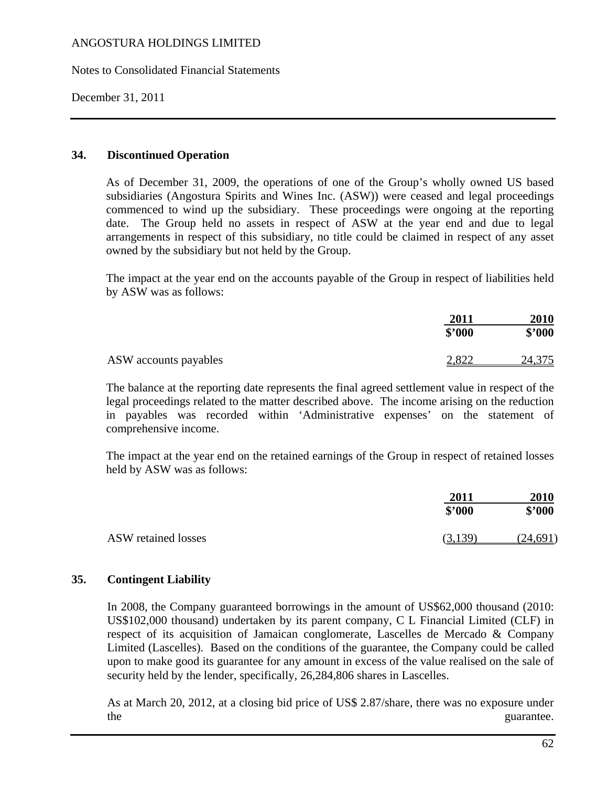Notes to Consolidated Financial Statements

December 31, 2011

#### **34. Discontinued Operation**

As of December 31, 2009, the operations of one of the Group's wholly owned US based subsidiaries (Angostura Spirits and Wines Inc. (ASW)) were ceased and legal proceedings commenced to wind up the subsidiary. These proceedings were ongoing at the reporting date. The Group held no assets in respect of ASW at the year end and due to legal arrangements in respect of this subsidiary, no title could be claimed in respect of any asset owned by the subsidiary but not held by the Group.

The impact at the year end on the accounts payable of the Group in respect of liabilities held by ASW was as follows:

|                       | 2011   | <b>2010</b> |
|-----------------------|--------|-------------|
|                       | \$2000 | \$'000      |
| ASW accounts payables | 2,822  | 24,375      |

The balance at the reporting date represents the final agreed settlement value in respect of the legal proceedings related to the matter described above. The income arising on the reduction in payables was recorded within 'Administrative expenses' on the statement of comprehensive income.

The impact at the year end on the retained earnings of the Group in respect of retained losses held by ASW was as follows:

| 2011   | 2010      |
|--------|-----------|
| \$2000 | \$3000    |
|        | (24, 691) |

#### **35. Contingent Liability**

In 2008, the Company guaranteed borrowings in the amount of US\$62,000 thousand (2010: US\$102,000 thousand) undertaken by its parent company, C L Financial Limited (CLF) in respect of its acquisition of Jamaican conglomerate, Lascelles de Mercado & Company Limited (Lascelles). Based on the conditions of the guarantee, the Company could be called upon to make good its guarantee for any amount in excess of the value realised on the sale of security held by the lender, specifically, 26,284,806 shares in Lascelles.

As at March 20, 2012, at a closing bid price of US\$ 2.87/share, there was no exposure under the guarantee.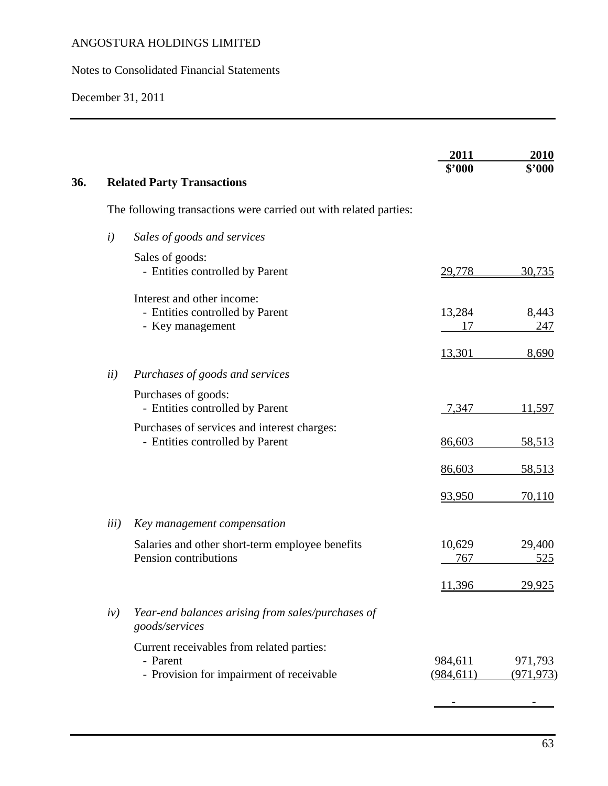# Notes to Consolidated Financial Statements

December 31, 2011

|     |              |                                                                                                   | 2011<br>\$2000        | 2010<br>\$'000        |
|-----|--------------|---------------------------------------------------------------------------------------------------|-----------------------|-----------------------|
| 36. |              | <b>Related Party Transactions</b>                                                                 |                       |                       |
|     |              | The following transactions were carried out with related parties:                                 |                       |                       |
|     | $\dot{i}$    | Sales of goods and services                                                                       |                       |                       |
|     |              | Sales of goods:<br>- Entities controlled by Parent                                                | 29,778                | 30,735                |
|     |              | Interest and other income:<br>- Entities controlled by Parent<br>- Key management                 | 13,284<br>17          | 8,443<br>247          |
|     |              |                                                                                                   | 13,301                | 8,690                 |
|     | ii)          | Purchases of goods and services                                                                   |                       |                       |
|     |              | Purchases of goods:<br>- Entities controlled by Parent                                            | 7,347                 | 11,597                |
|     |              | Purchases of services and interest charges:<br>- Entities controlled by Parent                    | 86,603                | 58,513                |
|     |              |                                                                                                   | 86,603                | 58,513                |
|     |              |                                                                                                   | 93,950                | <u>70,110</u>         |
|     | <i>iii</i> ) | Key management compensation                                                                       |                       |                       |
|     |              | Salaries and other short-term employee benefits<br>Pension contributions                          | 10,629<br>767         | 29,400<br>525         |
|     |              |                                                                                                   | 11,396                | 29,925                |
|     | iv)          | Year-end balances arising from sales/purchases of<br>goods/services                               |                       |                       |
|     |              | Current receivables from related parties:<br>- Parent<br>- Provision for impairment of receivable | 984,611<br>(984, 611) | 971,793<br>(971, 973) |
|     |              |                                                                                                   |                       |                       |